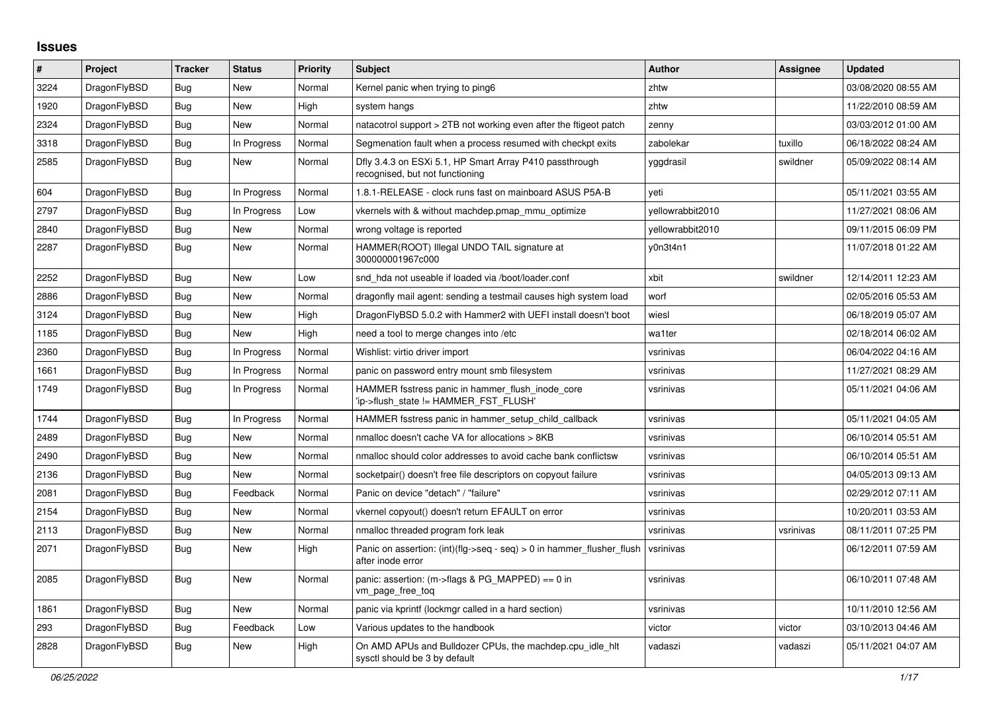## **Issues**

| #    | Project      | <b>Tracker</b> | <b>Status</b> | <b>Priority</b> | <b>Subject</b>                                                                                | <b>Author</b>    | Assignee  | <b>Updated</b>      |
|------|--------------|----------------|---------------|-----------------|-----------------------------------------------------------------------------------------------|------------------|-----------|---------------------|
| 3224 | DragonFlyBSD | Bug            | <b>New</b>    | Normal          | Kernel panic when trying to ping6                                                             | zhtw             |           | 03/08/2020 08:55 AM |
| 1920 | DragonFlyBSD | Bug            | New           | High            | system hangs                                                                                  | zhtw             |           | 11/22/2010 08:59 AM |
| 2324 | DragonFlyBSD | <b>Bug</b>     | New           | Normal          | natacotrol support > 2TB not working even after the ftigeot patch                             | zenny            |           | 03/03/2012 01:00 AM |
| 3318 | DragonFlyBSD | Bug            | In Progress   | Normal          | Segmenation fault when a process resumed with checkpt exits                                   | zabolekar        | tuxillo   | 06/18/2022 08:24 AM |
| 2585 | DragonFlyBSD | Bug            | <b>New</b>    | Normal          | Dfly 3.4.3 on ESXi 5.1, HP Smart Array P410 passthrough<br>recognised, but not functioning    | yggdrasil        | swildner  | 05/09/2022 08:14 AM |
| 604  | DragonFlyBSD | <b>Bug</b>     | In Progress   | Normal          | 1.8.1-RELEASE - clock runs fast on mainboard ASUS P5A-B                                       | yeti             |           | 05/11/2021 03:55 AM |
| 2797 | DragonFlyBSD | Bug            | In Progress   | Low             | vkernels with & without machdep.pmap_mmu_optimize                                             | yellowrabbit2010 |           | 11/27/2021 08:06 AM |
| 2840 | DragonFlyBSD | Bug            | New           | Normal          | wrong voltage is reported                                                                     | yellowrabbit2010 |           | 09/11/2015 06:09 PM |
| 2287 | DragonFlyBSD | Bug            | New           | Normal          | HAMMER(ROOT) Illegal UNDO TAIL signature at<br>300000001967c000                               | y0n3t4n1         |           | 11/07/2018 01:22 AM |
| 2252 | DragonFlyBSD | <b>Bug</b>     | <b>New</b>    | Low             | snd hda not useable if loaded via /boot/loader.conf                                           | xbit             | swildner  | 12/14/2011 12:23 AM |
| 2886 | DragonFlyBSD | <b>Bug</b>     | <b>New</b>    | Normal          | dragonfly mail agent: sending a testmail causes high system load                              | worf             |           | 02/05/2016 05:53 AM |
| 3124 | DragonFlyBSD | <b>Bug</b>     | <b>New</b>    | High            | DragonFlyBSD 5.0.2 with Hammer2 with UEFI install doesn't boot                                | wiesl            |           | 06/18/2019 05:07 AM |
| 1185 | DragonFlyBSD | Bug            | New           | High            | need a tool to merge changes into /etc                                                        | wa1ter           |           | 02/18/2014 06:02 AM |
| 2360 | DragonFlyBSD | Bug            | In Progress   | Normal          | Wishlist: virtio driver import                                                                | vsrinivas        |           | 06/04/2022 04:16 AM |
| 1661 | DragonFlyBSD | Bug            | In Progress   | Normal          | panic on password entry mount smb filesystem                                                  | vsrinivas        |           | 11/27/2021 08:29 AM |
| 1749 | DragonFlyBSD | Bug            | In Progress   | Normal          | HAMMER fsstress panic in hammer flush inode core<br>'ip->flush_state != HAMMER_FST_FLUSH'     | vsrinivas        |           | 05/11/2021 04:06 AM |
| 1744 | DragonFlyBSD | <b>Bug</b>     | In Progress   | Normal          | HAMMER fsstress panic in hammer setup child callback                                          | vsrinivas        |           | 05/11/2021 04:05 AM |
| 2489 | DragonFlyBSD | Bug            | <b>New</b>    | Normal          | nmalloc doesn't cache VA for allocations > 8KB                                                | vsrinivas        |           | 06/10/2014 05:51 AM |
| 2490 | DragonFlyBSD | <b>Bug</b>     | New           | Normal          | nmalloc should color addresses to avoid cache bank conflictsw                                 | vsrinivas        |           | 06/10/2014 05:51 AM |
| 2136 | DragonFlyBSD | Bug            | <b>New</b>    | Normal          | socketpair() doesn't free file descriptors on copyout failure                                 | vsrinivas        |           | 04/05/2013 09:13 AM |
| 2081 | DragonFlyBSD | Bug            | Feedback      | Normal          | Panic on device "detach" / "failure"                                                          | vsrinivas        |           | 02/29/2012 07:11 AM |
| 2154 | DragonFlyBSD | Bug            | <b>New</b>    | Normal          | vkernel copyout() doesn't return EFAULT on error                                              | vsrinivas        |           | 10/20/2011 03:53 AM |
| 2113 | DragonFlyBSD | Bug            | <b>New</b>    | Normal          | nmalloc threaded program fork leak                                                            | vsrinivas        | vsrinivas | 08/11/2011 07:25 PM |
| 2071 | DragonFlyBSD | <b>Bug</b>     | <b>New</b>    | High            | Panic on assertion: $(int)(flag->seq - seq) > 0$ in hammer flusher flush<br>after inode error | vsrinivas        |           | 06/12/2011 07:59 AM |
| 2085 | DragonFlyBSD | Bug            | <b>New</b>    | Normal          | panic: assertion: $(m\text{-}$ sflags & PG MAPPED) == 0 in<br>vm page free tog                | vsrinivas        |           | 06/10/2011 07:48 AM |
| 1861 | DragonFlyBSD | <b>Bug</b>     | <b>New</b>    | Normal          | panic via kprintf (lockmgr called in a hard section)                                          | vsrinivas        |           | 10/11/2010 12:56 AM |
| 293  | DragonFlyBSD | <b>Bug</b>     | Feedback      | Low             | Various updates to the handbook                                                               | victor           | victor    | 03/10/2013 04:46 AM |
| 2828 | DragonFlyBSD | <b>Bug</b>     | <b>New</b>    | High            | On AMD APUs and Bulldozer CPUs, the machdep.cpu_idle_hlt<br>sysctl should be 3 by default     | vadaszi          | vadaszi   | 05/11/2021 04:07 AM |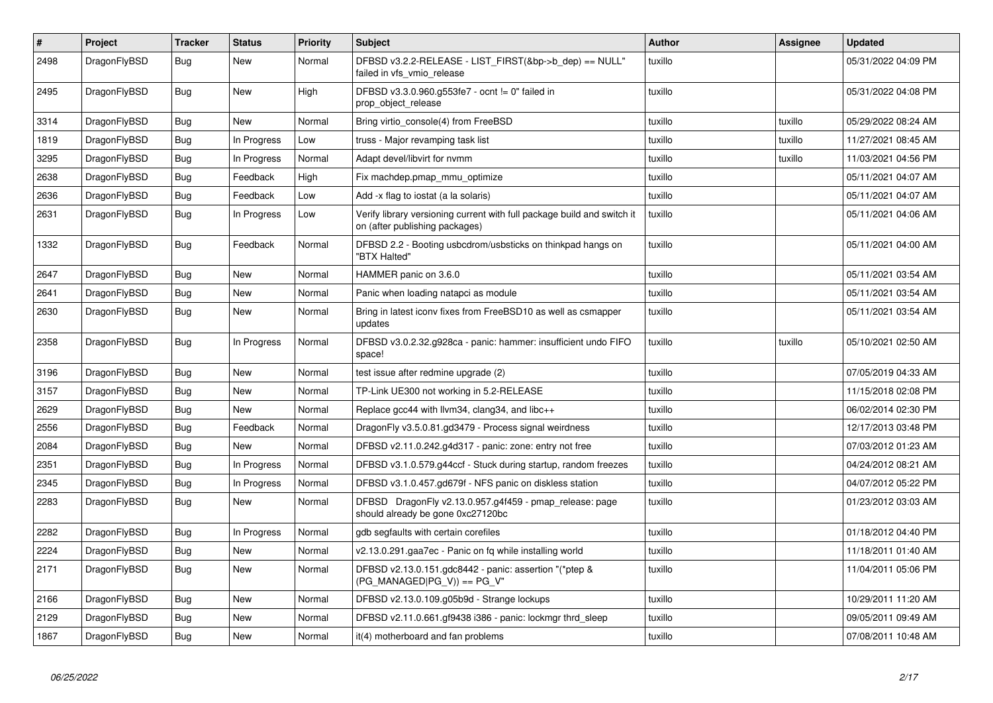| $\vert$ # | Project      | <b>Tracker</b> | <b>Status</b> | <b>Priority</b> | <b>Subject</b>                                                                                            | <b>Author</b> | Assignee | <b>Updated</b>      |
|-----------|--------------|----------------|---------------|-----------------|-----------------------------------------------------------------------------------------------------------|---------------|----------|---------------------|
| 2498      | DragonFlyBSD | Bug            | New           | Normal          | DFBSD v3.2.2-RELEASE - LIST FIRST(&bp->b dep) == NULL"<br>failed in vfs_vmio_release                      | tuxillo       |          | 05/31/2022 04:09 PM |
| 2495      | DragonFlyBSD | Bug            | <b>New</b>    | High            | DFBSD v3.3.0.960.g553fe7 - ocnt != 0" failed in<br>prop object release                                    | tuxillo       |          | 05/31/2022 04:08 PM |
| 3314      | DragonFlyBSD | <b>Bug</b>     | <b>New</b>    | Normal          | Bring virtio console(4) from FreeBSD                                                                      | tuxillo       | tuxillo  | 05/29/2022 08:24 AM |
| 1819      | DragonFlyBSD | Bug            | In Progress   | Low             | truss - Major revamping task list                                                                         | tuxillo       | tuxillo  | 11/27/2021 08:45 AM |
| 3295      | DragonFlyBSD | <b>Bug</b>     | In Progress   | Normal          | Adapt devel/libvirt for nvmm                                                                              | tuxillo       | tuxillo  | 11/03/2021 04:56 PM |
| 2638      | DragonFlyBSD | <b>Bug</b>     | Feedback      | High            | Fix machdep.pmap_mmu_optimize                                                                             | tuxillo       |          | 05/11/2021 04:07 AM |
| 2636      | DragonFlyBSD | Bug            | Feedback      | Low             | Add -x flag to iostat (a la solaris)                                                                      | tuxillo       |          | 05/11/2021 04:07 AM |
| 2631      | DragonFlyBSD | <b>Bug</b>     | In Progress   | Low             | Verify library versioning current with full package build and switch it<br>on (after publishing packages) | tuxillo       |          | 05/11/2021 04:06 AM |
| 1332      | DragonFlyBSD | <b>Bug</b>     | Feedback      | Normal          | DFBSD 2.2 - Booting usbcdrom/usbsticks on thinkpad hangs on<br>"BTX Halted"                               | tuxillo       |          | 05/11/2021 04:00 AM |
| 2647      | DragonFlyBSD | <b>Bug</b>     | <b>New</b>    | Normal          | HAMMER panic on 3.6.0                                                                                     | tuxillo       |          | 05/11/2021 03:54 AM |
| 2641      | DragonFlyBSD | Bug            | <b>New</b>    | Normal          | Panic when loading natapci as module                                                                      | tuxillo       |          | 05/11/2021 03:54 AM |
| 2630      | DragonFlyBSD | <b>Bug</b>     | New           | Normal          | Bring in latest iconv fixes from FreeBSD10 as well as csmapper<br>updates                                 | tuxillo       |          | 05/11/2021 03:54 AM |
| 2358      | DragonFlyBSD | Bug            | In Progress   | Normal          | DFBSD v3.0.2.32.g928ca - panic: hammer: insufficient undo FIFO<br>space!                                  | tuxillo       | tuxillo  | 05/10/2021 02:50 AM |
| 3196      | DragonFlyBSD | <b>Bug</b>     | <b>New</b>    | Normal          | test issue after redmine upgrade (2)                                                                      | tuxillo       |          | 07/05/2019 04:33 AM |
| 3157      | DragonFlyBSD | Bug            | New           | Normal          | TP-Link UE300 not working in 5.2-RELEASE                                                                  | tuxillo       |          | 11/15/2018 02:08 PM |
| 2629      | DragonFlyBSD | <b>Bug</b>     | New           | Normal          | Replace gcc44 with llvm34, clang34, and libc++                                                            | tuxillo       |          | 06/02/2014 02:30 PM |
| 2556      | DragonFlyBSD | <b>Bug</b>     | Feedback      | Normal          | DragonFly v3.5.0.81.gd3479 - Process signal weirdness                                                     | tuxillo       |          | 12/17/2013 03:48 PM |
| 2084      | DragonFlyBSD | Bug            | New           | Normal          | DFBSD v2.11.0.242.g4d317 - panic: zone: entry not free                                                    | tuxillo       |          | 07/03/2012 01:23 AM |
| 2351      | DragonFlyBSD | <b>Bug</b>     | In Progress   | Normal          | DFBSD v3.1.0.579.g44ccf - Stuck during startup, random freezes                                            | tuxillo       |          | 04/24/2012 08:21 AM |
| 2345      | DragonFlyBSD | <b>Bug</b>     | In Progress   | Normal          | DFBSD v3.1.0.457.gd679f - NFS panic on diskless station                                                   | tuxillo       |          | 04/07/2012 05:22 PM |
| 2283      | DragonFlyBSD | <b>Bug</b>     | New           | Normal          | DFBSD DragonFly v2.13.0.957.g4f459 - pmap_release: page<br>should already be gone 0xc27120bc              | tuxillo       |          | 01/23/2012 03:03 AM |
| 2282      | DragonFlyBSD | <b>Bug</b>     | In Progress   | Normal          | gdb segfaults with certain corefiles                                                                      | tuxillo       |          | 01/18/2012 04:40 PM |
| 2224      | DragonFlyBSD | Bug            | New           | Normal          | v2.13.0.291.gaa7ec - Panic on fq while installing world                                                   | tuxillo       |          | 11/18/2011 01:40 AM |
| 2171      | DragonFlyBSD | Bug            | New           | Normal          | DFBSD v2.13.0.151.gdc8442 - panic: assertion "(*ptep &<br>(PG_MANAGED PG_V)) == PG_V"                     | tuxillo       |          | 11/04/2011 05:06 PM |
| 2166      | DragonFlyBSD | <b>Bug</b>     | <b>New</b>    | Normal          | DFBSD v2.13.0.109.g05b9d - Strange lockups                                                                | tuxillo       |          | 10/29/2011 11:20 AM |
| 2129      | DragonFlyBSD | Bug            | New           | Normal          | DFBSD v2.11.0.661.gf9438 i386 - panic: lockmgr thrd_sleep                                                 | tuxillo       |          | 09/05/2011 09:49 AM |
| 1867      | DragonFlyBSD | Bug            | New           | Normal          | it(4) motherboard and fan problems                                                                        | tuxillo       |          | 07/08/2011 10:48 AM |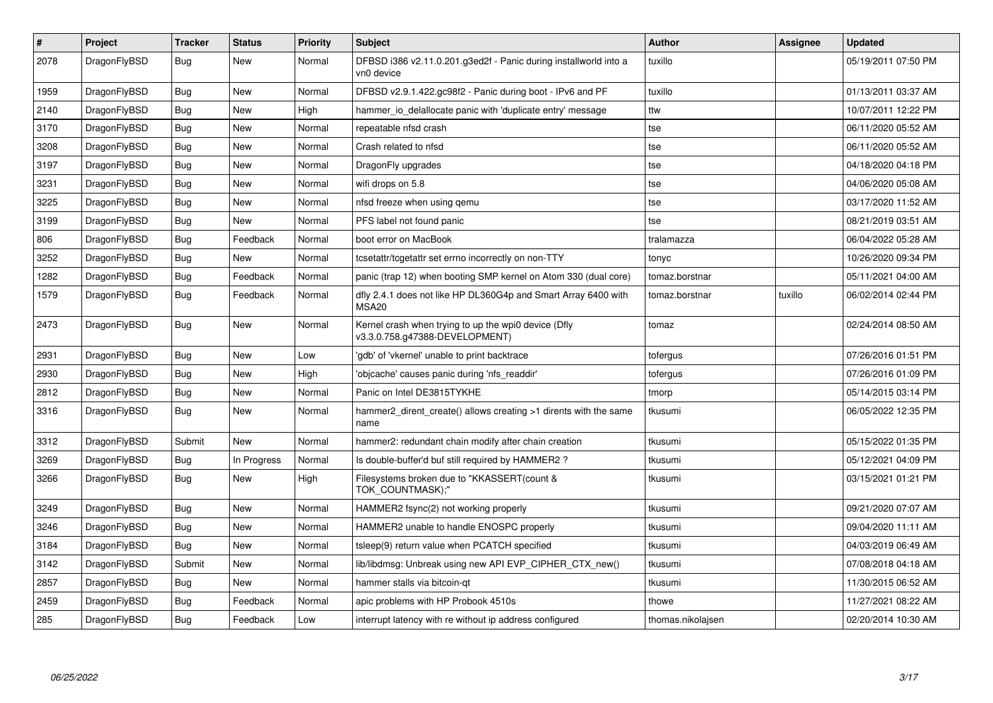| $\vert$ # | <b>Project</b> | <b>Tracker</b> | <b>Status</b> | <b>Priority</b> | <b>Subject</b>                                                                         | <b>Author</b>     | <b>Assignee</b> | <b>Updated</b>      |
|-----------|----------------|----------------|---------------|-----------------|----------------------------------------------------------------------------------------|-------------------|-----------------|---------------------|
| 2078      | DragonFlyBSD   | Bug            | <b>New</b>    | Normal          | DFBSD i386 v2.11.0.201.g3ed2f - Panic during installworld into a<br>vn0 device         | tuxillo           |                 | 05/19/2011 07:50 PM |
| 1959      | DragonFlyBSD   | <b>Bug</b>     | New           | Normal          | DFBSD v2.9.1.422.gc98f2 - Panic during boot - IPv6 and PF                              | tuxillo           |                 | 01/13/2011 03:37 AM |
| 2140      | DragonFlyBSD   | <b>Bug</b>     | <b>New</b>    | High            | hammer_io_delallocate panic with 'duplicate entry' message                             | ttw               |                 | 10/07/2011 12:22 PM |
| 3170      | DragonFlyBSD   | <b>Bug</b>     | <b>New</b>    | Normal          | repeatable nfsd crash                                                                  | tse               |                 | 06/11/2020 05:52 AM |
| 3208      | DragonFlyBSD   | Bug            | New           | Normal          | Crash related to nfsd                                                                  | tse               |                 | 06/11/2020 05:52 AM |
| 3197      | DragonFlyBSD   | Bug            | New           | Normal          | DragonFly upgrades                                                                     | tse               |                 | 04/18/2020 04:18 PM |
| 3231      | DragonFlyBSD   | Bug            | New           | Normal          | wifi drops on 5.8                                                                      | tse               |                 | 04/06/2020 05:08 AM |
| 3225      | DragonFlyBSD   | Bug            | New           | Normal          | nfsd freeze when using gemu                                                            | tse               |                 | 03/17/2020 11:52 AM |
| 3199      | DragonFlyBSD   | <b>Bug</b>     | <b>New</b>    | Normal          | PFS label not found panic                                                              | tse               |                 | 08/21/2019 03:51 AM |
| 806       | DragonFlyBSD   | Bug            | Feedback      | Normal          | boot error on MacBook                                                                  | tralamazza        |                 | 06/04/2022 05:28 AM |
| 3252      | DragonFlyBSD   | Bug            | New           | Normal          | tcsetattr/tcgetattr set errno incorrectly on non-TTY                                   | tonyc             |                 | 10/26/2020 09:34 PM |
| 1282      | DragonFlyBSD   | Bug            | Feedback      | Normal          | panic (trap 12) when booting SMP kernel on Atom 330 (dual core)                        | tomaz.borstnar    |                 | 05/11/2021 04:00 AM |
| 1579      | DragonFlyBSD   | Bug            | Feedback      | Normal          | dfly 2.4.1 does not like HP DL360G4p and Smart Array 6400 with<br>MSA <sub>20</sub>    | tomaz.borstnar    | tuxillo         | 06/02/2014 02:44 PM |
| 2473      | DragonFlyBSD   | Bug            | New           | Normal          | Kernel crash when trying to up the wpi0 device (Dfly<br>v3.3.0.758.g47388-DEVELOPMENT) | tomaz             |                 | 02/24/2014 08:50 AM |
| 2931      | DragonFlyBSD   | Bug            | <b>New</b>    | Low             | 'gdb' of 'vkernel' unable to print backtrace                                           | tofergus          |                 | 07/26/2016 01:51 PM |
| 2930      | DragonFlyBSD   | Bug            | <b>New</b>    | High            | 'objcache' causes panic during 'nfs readdir'                                           | tofergus          |                 | 07/26/2016 01:09 PM |
| 2812      | DragonFlyBSD   | <b>Bug</b>     | New           | Normal          | Panic on Intel DE3815TYKHE                                                             | tmorp             |                 | 05/14/2015 03:14 PM |
| 3316      | DragonFlyBSD   | <b>Bug</b>     | New           | Normal          | hammer2_dirent_create() allows creating >1 dirents with the same<br>name               | tkusumi           |                 | 06/05/2022 12:35 PM |
| 3312      | DragonFlyBSD   | Submit         | <b>New</b>    | Normal          | hammer2: redundant chain modify after chain creation                                   | tkusumi           |                 | 05/15/2022 01:35 PM |
| 3269      | DragonFlyBSD   | Bug            | In Progress   | Normal          | Is double-buffer'd buf still required by HAMMER2?                                      | tkusumi           |                 | 05/12/2021 04:09 PM |
| 3266      | DragonFlyBSD   | <b>Bug</b>     | New           | High            | Filesystems broken due to "KKASSERT(count &<br>TOK COUNTMASK);"                        | tkusumi           |                 | 03/15/2021 01:21 PM |
| 3249      | DragonFlyBSD   | Bug            | New           | Normal          | HAMMER2 fsync(2) not working properly                                                  | tkusumi           |                 | 09/21/2020 07:07 AM |
| 3246      | DragonFlyBSD   | Bug            | <b>New</b>    | Normal          | HAMMER2 unable to handle ENOSPC properly                                               | tkusumi           |                 | 09/04/2020 11:11 AM |
| 3184      | DragonFlyBSD   | <b>Bug</b>     | New           | Normal          | tsleep(9) return value when PCATCH specified                                           | tkusumi           |                 | 04/03/2019 06:49 AM |
| 3142      | DragonFlyBSD   | Submit         | New           | Normal          | lib/libdmsg: Unbreak using new API EVP CIPHER CTX new()                                | tkusumi           |                 | 07/08/2018 04:18 AM |
| 2857      | DragonFlyBSD   | Bug            | New           | Normal          | hammer stalls via bitcoin-qt                                                           | tkusumi           |                 | 11/30/2015 06:52 AM |
| 2459      | DragonFlyBSD   | <b>Bug</b>     | Feedback      | Normal          | apic problems with HP Probook 4510s                                                    | thowe             |                 | 11/27/2021 08:22 AM |
| 285       | DragonFlyBSD   | Bug            | Feedback      | Low             | interrupt latency with re without ip address configured                                | thomas.nikolajsen |                 | 02/20/2014 10:30 AM |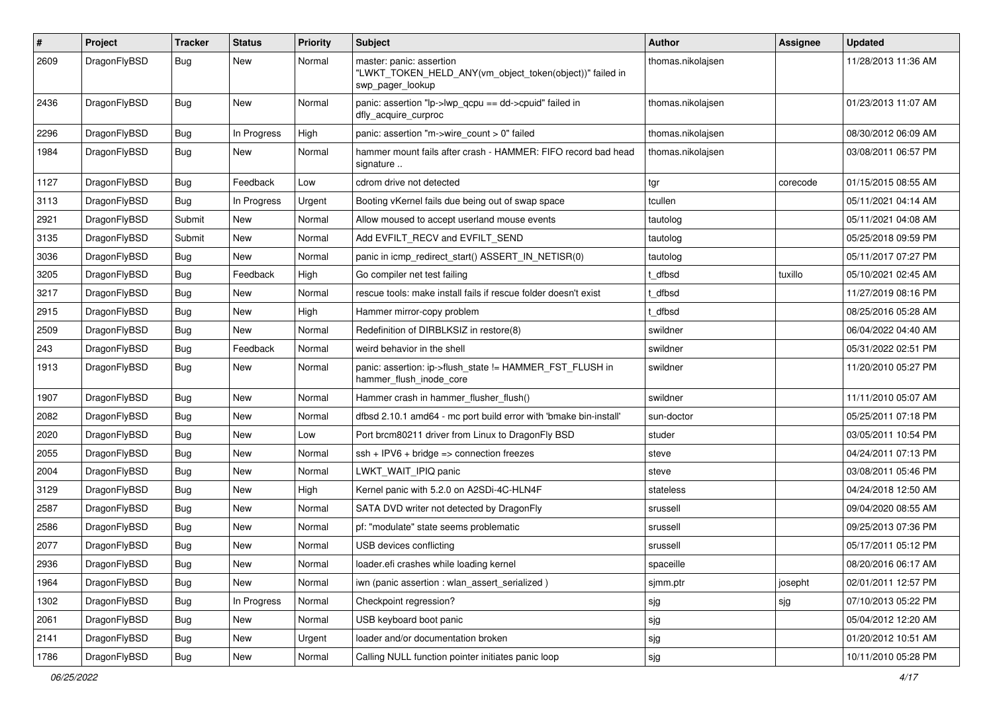| $\pmb{\#}$ | Project      | <b>Tracker</b> | <b>Status</b> | <b>Priority</b> | Subject                                                                                                  | <b>Author</b>     | Assignee | <b>Updated</b>      |
|------------|--------------|----------------|---------------|-----------------|----------------------------------------------------------------------------------------------------------|-------------------|----------|---------------------|
| 2609       | DragonFlyBSD | Bug            | New           | Normal          | master: panic: assertion<br>"LWKT_TOKEN_HELD_ANY(vm_object_token(object))" failed in<br>swp pager lookup | thomas.nikolajsen |          | 11/28/2013 11:36 AM |
| 2436       | DragonFlyBSD | <b>Bug</b>     | New           | Normal          | panic: assertion "lp->lwp_qcpu == dd->cpuid" failed in<br>dfly_acquire_curproc                           | thomas.nikolajsen |          | 01/23/2013 11:07 AM |
| 2296       | DragonFlyBSD | <b>Bug</b>     | In Progress   | High            | panic: assertion "m->wire count > 0" failed                                                              | thomas.nikolajsen |          | 08/30/2012 06:09 AM |
| 1984       | DragonFlyBSD | Bug            | New           | Normal          | hammer mount fails after crash - HAMMER: FIFO record bad head<br>signature                               | thomas.nikolaisen |          | 03/08/2011 06:57 PM |
| 1127       | DragonFlyBSD | Bug            | Feedback      | Low             | cdrom drive not detected                                                                                 | tgr               | corecode | 01/15/2015 08:55 AM |
| 3113       | DragonFlyBSD | <b>Bug</b>     | In Progress   | Urgent          | Booting vKernel fails due being out of swap space                                                        | tcullen           |          | 05/11/2021 04:14 AM |
| 2921       | DragonFlyBSD | Submit         | New           | Normal          | Allow moused to accept userland mouse events                                                             | tautolog          |          | 05/11/2021 04:08 AM |
| 3135       | DragonFlyBSD | Submit         | New           | Normal          | Add EVFILT RECV and EVFILT SEND                                                                          | tautolog          |          | 05/25/2018 09:59 PM |
| 3036       | DragonFlyBSD | Bug            | New           | Normal          | panic in icmp_redirect_start() ASSERT_IN_NETISR(0)                                                       | tautolog          |          | 05/11/2017 07:27 PM |
| 3205       | DragonFlyBSD | <b>Bug</b>     | Feedback      | High            | Go compiler net test failing                                                                             | t_dfbsd           | tuxillo  | 05/10/2021 02:45 AM |
| 3217       | DragonFlyBSD | Bug            | <b>New</b>    | Normal          | rescue tools: make install fails if rescue folder doesn't exist                                          | t_dfbsd           |          | 11/27/2019 08:16 PM |
| 2915       | DragonFlyBSD | Bug            | New           | High            | Hammer mirror-copy problem                                                                               | t dfbsd           |          | 08/25/2016 05:28 AM |
| 2509       | DragonFlyBSD | Bug            | New           | Normal          | Redefinition of DIRBLKSIZ in restore(8)                                                                  | swildner          |          | 06/04/2022 04:40 AM |
| 243        | DragonFlyBSD | Bug            | Feedback      | Normal          | weird behavior in the shell                                                                              | swildner          |          | 05/31/2022 02:51 PM |
| 1913       | DragonFlyBSD | Bug            | <b>New</b>    | Normal          | panic: assertion: ip->flush_state != HAMMER_FST_FLUSH in<br>hammer_flush_inode_core                      | swildner          |          | 11/20/2010 05:27 PM |
| 1907       | DragonFlyBSD | <b>Bug</b>     | <b>New</b>    | Normal          | Hammer crash in hammer_flusher_flush()                                                                   | swildner          |          | 11/11/2010 05:07 AM |
| 2082       | DragonFlyBSD | <b>Bug</b>     | <b>New</b>    | Normal          | dfbsd 2.10.1 amd64 - mc port build error with 'bmake bin-install'                                        | sun-doctor        |          | 05/25/2011 07:18 PM |
| 2020       | DragonFlyBSD | Bug            | <b>New</b>    | Low             | Port brcm80211 driver from Linux to DragonFly BSD                                                        | studer            |          | 03/05/2011 10:54 PM |
| 2055       | DragonFlyBSD | Bug            | New           | Normal          | $ssh + IPV6 + bridge \Rightarrow connection freezes$                                                     | steve             |          | 04/24/2011 07:13 PM |
| 2004       | DragonFlyBSD | Bug            | <b>New</b>    | Normal          | LWKT_WAIT_IPIQ panic                                                                                     | steve             |          | 03/08/2011 05:46 PM |
| 3129       | DragonFlyBSD | Bug            | <b>New</b>    | High            | Kernel panic with 5.2.0 on A2SDi-4C-HLN4F                                                                | stateless         |          | 04/24/2018 12:50 AM |
| 2587       | DragonFlyBSD | Bug            | New           | Normal          | SATA DVD writer not detected by DragonFly                                                                | srussell          |          | 09/04/2020 08:55 AM |
| 2586       | DragonFlyBSD | Bug            | <b>New</b>    | Normal          | pf: "modulate" state seems problematic                                                                   | srussell          |          | 09/25/2013 07:36 PM |
| 2077       | DragonFlyBSD | Bug            | New           | Normal          | USB devices conflicting                                                                                  | srussell          |          | 05/17/2011 05:12 PM |
| 2936       | DragonFlyBSD | Bug            | New           | Normal          | loader.efi crashes while loading kernel                                                                  | spaceille         |          | 08/20/2016 06:17 AM |
| 1964       | DragonFlyBSD | Bug            | New           | Normal          | iwn (panic assertion : wlan assert serialized)                                                           | sjmm.ptr          | josepht  | 02/01/2011 12:57 PM |
| 1302       | DragonFlyBSD | <b>Bug</b>     | In Progress   | Normal          | Checkpoint regression?                                                                                   | sjg               | sig      | 07/10/2013 05:22 PM |
| 2061       | DragonFlyBSD | Bug            | New           | Normal          | USB keyboard boot panic                                                                                  | sjg               |          | 05/04/2012 12:20 AM |
| 2141       | DragonFlyBSD | <b>Bug</b>     | New           | Urgent          | loader and/or documentation broken                                                                       | sjg               |          | 01/20/2012 10:51 AM |
| 1786       | DragonFlyBSD | Bug            | New           | Normal          | Calling NULL function pointer initiates panic loop                                                       | sjg               |          | 10/11/2010 05:28 PM |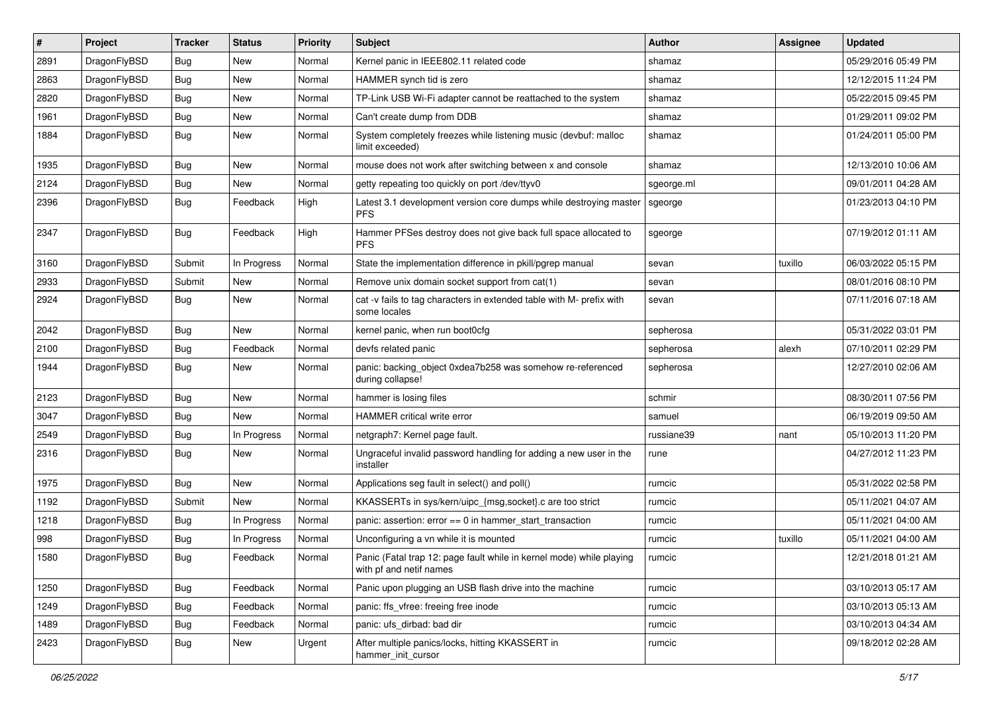| #    | Project      | <b>Tracker</b> | <b>Status</b> | <b>Priority</b> | <b>Subject</b>                                                                                  | Author     | <b>Assignee</b> | <b>Updated</b>      |
|------|--------------|----------------|---------------|-----------------|-------------------------------------------------------------------------------------------------|------------|-----------------|---------------------|
| 2891 | DragonFlyBSD | Bug            | <b>New</b>    | Normal          | Kernel panic in IEEE802.11 related code                                                         | shamaz     |                 | 05/29/2016 05:49 PM |
| 2863 | DragonFlyBSD | <b>Bug</b>     | <b>New</b>    | Normal          | HAMMER synch tid is zero                                                                        | shamaz     |                 | 12/12/2015 11:24 PM |
| 2820 | DragonFlyBSD | <b>Bug</b>     | <b>New</b>    | Normal          | TP-Link USB Wi-Fi adapter cannot be reattached to the system                                    | shamaz     |                 | 05/22/2015 09:45 PM |
| 1961 | DragonFlyBSD | Bug            | <b>New</b>    | Normal          | Can't create dump from DDB                                                                      | shamaz     |                 | 01/29/2011 09:02 PM |
| 1884 | DragonFlyBSD | Bug            | <b>New</b>    | Normal          | System completely freezes while listening music (devbuf: malloc<br>limit exceeded)              | shamaz     |                 | 01/24/2011 05:00 PM |
| 1935 | DragonFlyBSD | Bug            | <b>New</b>    | Normal          | mouse does not work after switching between x and console                                       | shamaz     |                 | 12/13/2010 10:06 AM |
| 2124 | DragonFlyBSD | <b>Bug</b>     | New           | Normal          | getty repeating too quickly on port /dev/ttyv0                                                  | sgeorge.ml |                 | 09/01/2011 04:28 AM |
| 2396 | DragonFlyBSD | <b>Bug</b>     | Feedback      | High            | Latest 3.1 development version core dumps while destroying master<br><b>PFS</b>                 | sgeorge    |                 | 01/23/2013 04:10 PM |
| 2347 | DragonFlyBSD | <b>Bug</b>     | Feedback      | High            | Hammer PFSes destroy does not give back full space allocated to<br><b>PFS</b>                   | sgeorge    |                 | 07/19/2012 01:11 AM |
| 3160 | DragonFlyBSD | Submit         | In Progress   | Normal          | State the implementation difference in pkill/pgrep manual                                       | sevan      | tuxillo         | 06/03/2022 05:15 PM |
| 2933 | DragonFlyBSD | Submit         | New           | Normal          | Remove unix domain socket support from cat(1)                                                   | sevan      |                 | 08/01/2016 08:10 PM |
| 2924 | DragonFlyBSD | Bug            | <b>New</b>    | Normal          | cat -v fails to tag characters in extended table with M- prefix with<br>some locales            | sevan      |                 | 07/11/2016 07:18 AM |
| 2042 | DragonFlyBSD | <b>Bug</b>     | <b>New</b>    | Normal          | kernel panic, when run boot0cfg                                                                 | sepherosa  |                 | 05/31/2022 03:01 PM |
| 2100 | DragonFlyBSD | <b>Bug</b>     | Feedback      | Normal          | devfs related panic                                                                             | sepherosa  | alexh           | 07/10/2011 02:29 PM |
| 1944 | DragonFlyBSD | <b>Bug</b>     | <b>New</b>    | Normal          | panic: backing_object 0xdea7b258 was somehow re-referenced<br>during collapse!                  | sepherosa  |                 | 12/27/2010 02:06 AM |
| 2123 | DragonFlyBSD | Bug            | <b>New</b>    | Normal          | hammer is losing files                                                                          | schmir     |                 | 08/30/2011 07:56 PM |
| 3047 | DragonFlyBSD | <b>Bug</b>     | New           | Normal          | HAMMER critical write error                                                                     | samuel     |                 | 06/19/2019 09:50 AM |
| 2549 | DragonFlyBSD | Bug            | In Progress   | Normal          | netgraph7: Kernel page fault.                                                                   | russiane39 | nant            | 05/10/2013 11:20 PM |
| 2316 | DragonFlyBSD | <b>Bug</b>     | New           | Normal          | Ungraceful invalid password handling for adding a new user in the<br>installer                  | rune       |                 | 04/27/2012 11:23 PM |
| 1975 | DragonFlyBSD | Bug            | <b>New</b>    | Normal          | Applications seg fault in select() and poll()                                                   | rumcic     |                 | 05/31/2022 02:58 PM |
| 1192 | DragonFlyBSD | Submit         | <b>New</b>    | Normal          | KKASSERTs in sys/kern/uipc_{msg,socket}.c are too strict                                        | rumcic     |                 | 05/11/2021 04:07 AM |
| 1218 | DragonFlyBSD | Bug            | In Progress   | Normal          | panic: assertion: $error == 0$ in hammer start transaction                                      | rumcic     |                 | 05/11/2021 04:00 AM |
| 998  | DragonFlyBSD | <b>Bug</b>     | In Progress   | Normal          | Unconfiguring a vn while it is mounted                                                          | rumcic     | tuxillo         | 05/11/2021 04:00 AM |
| 1580 | DragonFlyBSD | Bug            | Feedback      | Normal          | Panic (Fatal trap 12: page fault while in kernel mode) while playing<br>with pf and netif names | rumcic     |                 | 12/21/2018 01:21 AM |
| 1250 | DragonFlyBSD | <b>Bug</b>     | Feedback      | Normal          | Panic upon plugging an USB flash drive into the machine                                         | rumcic     |                 | 03/10/2013 05:17 AM |
| 1249 | DragonFlyBSD | <b>Bug</b>     | Feedback      | Normal          | panic: ffs_vfree: freeing free inode                                                            | rumcic     |                 | 03/10/2013 05:13 AM |
| 1489 | DragonFlyBSD | Bug            | Feedback      | Normal          | panic: ufs_dirbad: bad dir                                                                      | rumcic     |                 | 03/10/2013 04:34 AM |
| 2423 | DragonFlyBSD | <b>Bug</b>     | New           | Urgent          | After multiple panics/locks, hitting KKASSERT in<br>hammer_init_cursor                          | rumcic     |                 | 09/18/2012 02:28 AM |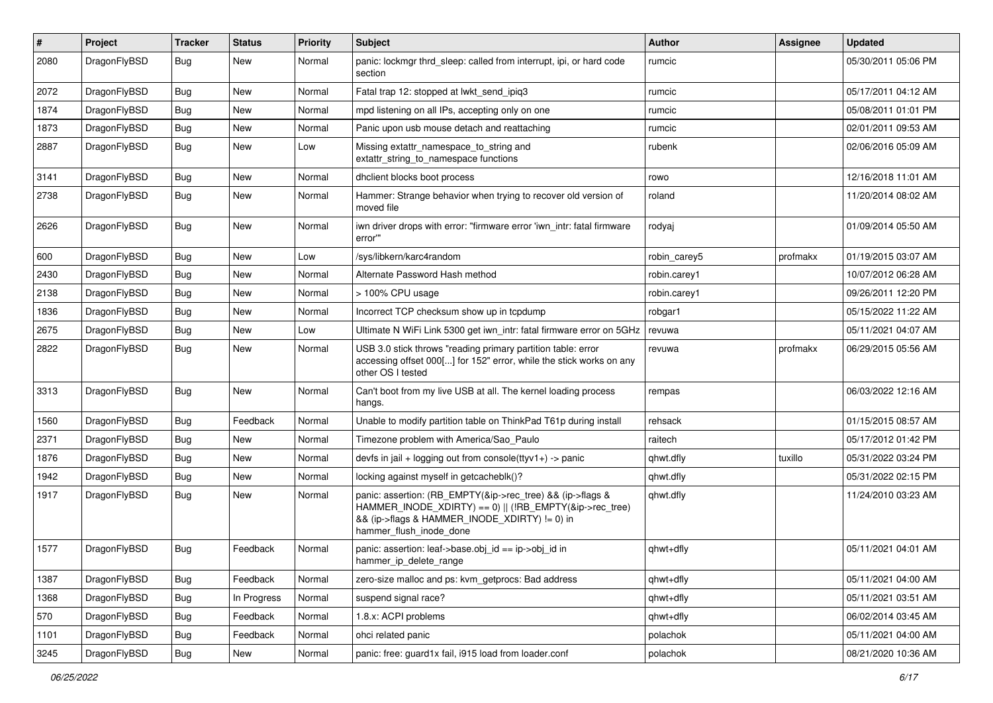| $\vert$ # | Project      | <b>Tracker</b> | <b>Status</b> | <b>Priority</b> | <b>Subject</b>                                                                                                                                                                                    | Author       | <b>Assignee</b> | <b>Updated</b>      |
|-----------|--------------|----------------|---------------|-----------------|---------------------------------------------------------------------------------------------------------------------------------------------------------------------------------------------------|--------------|-----------------|---------------------|
| 2080      | DragonFlyBSD | Bug            | New           | Normal          | panic: lockmgr thrd_sleep: called from interrupt, ipi, or hard code<br>section                                                                                                                    | rumcic       |                 | 05/30/2011 05:06 PM |
| 2072      | DragonFlyBSD | <b>Bug</b>     | <b>New</b>    | Normal          | Fatal trap 12: stopped at lwkt send ipig3                                                                                                                                                         | rumcic       |                 | 05/17/2011 04:12 AM |
| 1874      | DragonFlyBSD | Bug            | New           | Normal          | mpd listening on all IPs, accepting only on one                                                                                                                                                   | rumcic       |                 | 05/08/2011 01:01 PM |
| 1873      | DragonFlyBSD | Bug            | New           | Normal          | Panic upon usb mouse detach and reattaching                                                                                                                                                       | rumcic       |                 | 02/01/2011 09:53 AM |
| 2887      | DragonFlyBSD | <b>Bug</b>     | New           | Low             | Missing extattr_namespace_to_string and<br>extattr_string_to_namespace functions                                                                                                                  | rubenk       |                 | 02/06/2016 05:09 AM |
| 3141      | DragonFlyBSD | <b>Bug</b>     | <b>New</b>    | Normal          | dhclient blocks boot process                                                                                                                                                                      | rowo         |                 | 12/16/2018 11:01 AM |
| 2738      | DragonFlyBSD | Bug            | New           | Normal          | Hammer: Strange behavior when trying to recover old version of<br>moved file                                                                                                                      | roland       |                 | 11/20/2014 08:02 AM |
| 2626      | DragonFlyBSD | Bug            | <b>New</b>    | Normal          | iwn driver drops with error: "firmware error 'iwn_intr: fatal firmware<br>error"                                                                                                                  | rodyaj       |                 | 01/09/2014 05:50 AM |
| 600       | DragonFlyBSD | <b>Bug</b>     | <b>New</b>    | Low             | /sys/libkern/karc4random                                                                                                                                                                          | robin carey5 | profmakx        | 01/19/2015 03:07 AM |
| 2430      | DragonFlyBSD | <b>Bug</b>     | New           | Normal          | Alternate Password Hash method                                                                                                                                                                    | robin.carey1 |                 | 10/07/2012 06:28 AM |
| 2138      | DragonFlyBSD | Bug            | New           | Normal          | > 100% CPU usage                                                                                                                                                                                  | robin.carey1 |                 | 09/26/2011 12:20 PM |
| 1836      | DragonFlyBSD | Bug            | New           | Normal          | Incorrect TCP checksum show up in tcpdump                                                                                                                                                         | robgar1      |                 | 05/15/2022 11:22 AM |
| 2675      | DragonFlyBSD | <b>Bug</b>     | New           | Low             | Ultimate N WiFi Link 5300 get iwn_intr: fatal firmware error on 5GHz                                                                                                                              | revuwa       |                 | 05/11/2021 04:07 AM |
| 2822      | DragonFlyBSD | Bug            | New           | Normal          | USB 3.0 stick throws "reading primary partition table: error<br>accessing offset 000[] for 152" error, while the stick works on any<br>other OS I tested                                          | revuwa       | profmakx        | 06/29/2015 05:56 AM |
| 3313      | DragonFlyBSD | Bug            | <b>New</b>    | Normal          | Can't boot from my live USB at all. The kernel loading process<br>hangs.                                                                                                                          | rempas       |                 | 06/03/2022 12:16 AM |
| 1560      | DragonFlyBSD | <b>Bug</b>     | Feedback      | Normal          | Unable to modify partition table on ThinkPad T61p during install                                                                                                                                  | rehsack      |                 | 01/15/2015 08:57 AM |
| 2371      | DragonFlyBSD | <b>Bug</b>     | New           | Normal          | Timezone problem with America/Sao_Paulo                                                                                                                                                           | raitech      |                 | 05/17/2012 01:42 PM |
| 1876      | DragonFlyBSD | <b>Bug</b>     | New           | Normal          | devfs in $ ail + logging$ out from console(ttyv1+) -> panic                                                                                                                                       | qhwt.dfly    | tuxillo         | 05/31/2022 03:24 PM |
| 1942      | DragonFlyBSD | Bug            | <b>New</b>    | Normal          | locking against myself in getcacheblk()?                                                                                                                                                          | qhwt.dfly    |                 | 05/31/2022 02:15 PM |
| 1917      | DragonFlyBSD | <b>Bug</b>     | New           | Normal          | panic: assertion: (RB EMPTY(&ip->rec tree) && (ip->flags &<br>HAMMER_INODE_XDIRTY) == 0)    (!RB_EMPTY(&ip->rec_tree)<br>&& (ip->flags & HAMMER_INODE_XDIRTY) != 0) in<br>hammer_flush_inode_done | qhwt.dfly    |                 | 11/24/2010 03:23 AM |
| 1577      | DragonFlyBSD | Bug            | Feedback      | Normal          | panic: assertion: leaf->base.obj_id == ip->obj_id in<br>hammer_ip_delete_range                                                                                                                    | qhwt+dfly    |                 | 05/11/2021 04:01 AM |
| 1387      | DragonFlyBSD | <b>Bug</b>     | Feedback      | Normal          | zero-size malloc and ps: kvm getprocs: Bad address                                                                                                                                                | qhwt+dfly    |                 | 05/11/2021 04:00 AM |
| 1368      | DragonFlyBSD | <b>Bug</b>     | In Progress   | Normal          | suspend signal race?                                                                                                                                                                              | qhwt+dfly    |                 | 05/11/2021 03:51 AM |
| 570       | DragonFlyBSD | <b>Bug</b>     | Feedback      | Normal          | 1.8.x: ACPI problems                                                                                                                                                                              | qhwt+dfly    |                 | 06/02/2014 03:45 AM |
| 1101      | DragonFlyBSD | <b>Bug</b>     | Feedback      | Normal          | ohci related panic                                                                                                                                                                                | polachok     |                 | 05/11/2021 04:00 AM |
| 3245      | DragonFlyBSD | <b>Bug</b>     | New           | Normal          | panic: free: guard1x fail, i915 load from loader.conf                                                                                                                                             | polachok     |                 | 08/21/2020 10:36 AM |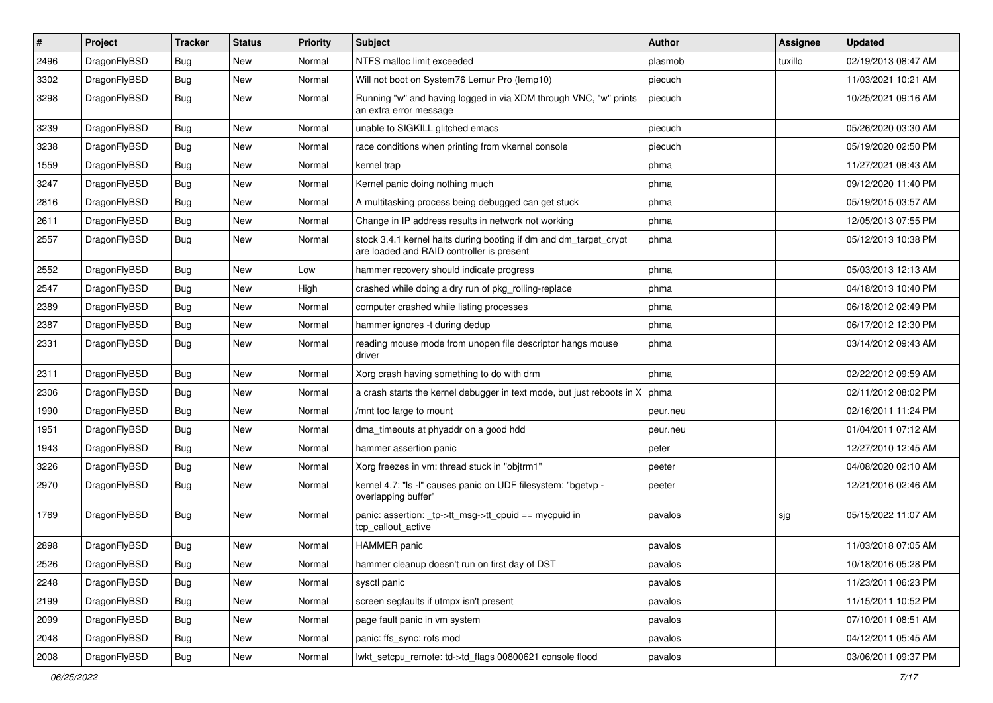| $\pmb{\#}$ | Project      | <b>Tracker</b> | <b>Status</b> | <b>Priority</b> | Subject                                                                                                        | Author   | Assignee | <b>Updated</b>      |
|------------|--------------|----------------|---------------|-----------------|----------------------------------------------------------------------------------------------------------------|----------|----------|---------------------|
| 2496       | DragonFlyBSD | <b>Bug</b>     | New           | Normal          | NTFS malloc limit exceeded                                                                                     | plasmob  | tuxillo  | 02/19/2013 08:47 AM |
| 3302       | DragonFlyBSD | <b>Bug</b>     | New           | Normal          | Will not boot on System76 Lemur Pro (lemp10)                                                                   | piecuch  |          | 11/03/2021 10:21 AM |
| 3298       | DragonFlyBSD | Bug            | New           | Normal          | Running "w" and having logged in via XDM through VNC, "w" prints<br>an extra error message                     | piecuch  |          | 10/25/2021 09:16 AM |
| 3239       | DragonFlyBSD | <b>Bug</b>     | <b>New</b>    | Normal          | unable to SIGKILL glitched emacs                                                                               | piecuch  |          | 05/26/2020 03:30 AM |
| 3238       | DragonFlyBSD | Bug            | New           | Normal          | race conditions when printing from vkernel console                                                             | piecuch  |          | 05/19/2020 02:50 PM |
| 1559       | DragonFlyBSD | Bug            | New           | Normal          | kernel trap                                                                                                    | phma     |          | 11/27/2021 08:43 AM |
| 3247       | DragonFlyBSD | Bug            | <b>New</b>    | Normal          | Kernel panic doing nothing much                                                                                | phma     |          | 09/12/2020 11:40 PM |
| 2816       | DragonFlyBSD | Bug            | New           | Normal          | A multitasking process being debugged can get stuck                                                            | phma     |          | 05/19/2015 03:57 AM |
| 2611       | DragonFlyBSD | Bug            | New           | Normal          | Change in IP address results in network not working                                                            | phma     |          | 12/05/2013 07:55 PM |
| 2557       | DragonFlyBSD | <b>Bug</b>     | New           | Normal          | stock 3.4.1 kernel halts during booting if dm and dm_target_crypt<br>are loaded and RAID controller is present | phma     |          | 05/12/2013 10:38 PM |
| 2552       | DragonFlyBSD | <b>Bug</b>     | <b>New</b>    | Low             | hammer recovery should indicate progress                                                                       | phma     |          | 05/03/2013 12:13 AM |
| 2547       | DragonFlyBSD | <b>Bug</b>     | New           | High            | crashed while doing a dry run of pkg rolling-replace                                                           | phma     |          | 04/18/2013 10:40 PM |
| 2389       | DragonFlyBSD | Bug            | New           | Normal          | computer crashed while listing processes                                                                       | phma     |          | 06/18/2012 02:49 PM |
| 2387       | DragonFlyBSD | Bug            | New           | Normal          | hammer ignores -t during dedup                                                                                 | phma     |          | 06/17/2012 12:30 PM |
| 2331       | DragonFlyBSD | Bug            | New           | Normal          | reading mouse mode from unopen file descriptor hangs mouse<br>driver                                           | phma     |          | 03/14/2012 09:43 AM |
| 2311       | DragonFlyBSD | <b>Bug</b>     | <b>New</b>    | Normal          | Xorg crash having something to do with drm                                                                     | phma     |          | 02/22/2012 09:59 AM |
| 2306       | DragonFlyBSD | Bug            | <b>New</b>    | Normal          | a crash starts the kernel debugger in text mode, but just reboots in X                                         | phma     |          | 02/11/2012 08:02 PM |
| 1990       | DragonFlyBSD | Bug            | New           | Normal          | /mnt too large to mount                                                                                        | peur.neu |          | 02/16/2011 11:24 PM |
| 1951       | DragonFlyBSD | Bug            | <b>New</b>    | Normal          | dma_timeouts at phyaddr on a good hdd                                                                          | peur.neu |          | 01/04/2011 07:12 AM |
| 1943       | DragonFlyBSD | <b>Bug</b>     | New           | Normal          | hammer assertion panic                                                                                         | peter    |          | 12/27/2010 12:45 AM |
| 3226       | DragonFlyBSD | Bug            | <b>New</b>    | Normal          | Xorg freezes in vm: thread stuck in "objtrm1"                                                                  | peeter   |          | 04/08/2020 02:10 AM |
| 2970       | DragonFlyBSD | Bug            | New           | Normal          | kernel 4.7: "Is -I" causes panic on UDF filesystem: "bgetvp -<br>overlapping buffer"                           | peeter   |          | 12/21/2016 02:46 AM |
| 1769       | DragonFlyBSD | Bug            | <b>New</b>    | Normal          | panic: assertion: _tp->tt_msg->tt_cpuid == mycpuid in<br>tcp_callout_active                                    | pavalos  | sjg      | 05/15/2022 11:07 AM |
| 2898       | DragonFlyBSD | <b>Bug</b>     | New           | Normal          | <b>HAMMER</b> panic                                                                                            | pavalos  |          | 11/03/2018 07:05 AM |
| 2526       | DragonFlyBSD | Bug            | New           | Normal          | hammer cleanup doesn't run on first day of DST                                                                 | pavalos  |          | 10/18/2016 05:28 PM |
| 2248       | DragonFlyBSD | Bug            | <b>New</b>    | Normal          | sysctl panic                                                                                                   | pavalos  |          | 11/23/2011 06:23 PM |
| 2199       | DragonFlyBSD | <b>Bug</b>     | New           | Normal          | screen segfaults if utmpx isn't present                                                                        | pavalos  |          | 11/15/2011 10:52 PM |
| 2099       | DragonFlyBSD | <b>Bug</b>     | New           | Normal          | page fault panic in vm system                                                                                  | pavalos  |          | 07/10/2011 08:51 AM |
| 2048       | DragonFlyBSD | Bug            | New           | Normal          | panic: ffs_sync: rofs mod                                                                                      | pavalos  |          | 04/12/2011 05:45 AM |
| 2008       | DragonFlyBSD | Bug            | New           | Normal          | lwkt_setcpu_remote: td->td_flags 00800621 console flood                                                        | pavalos  |          | 03/06/2011 09:37 PM |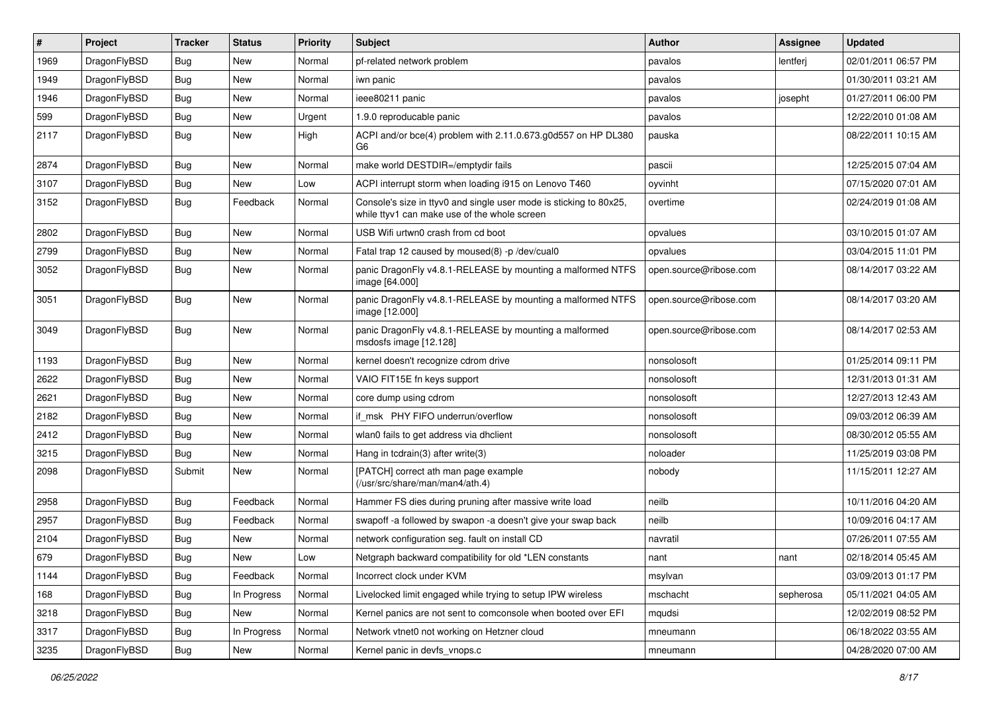| $\vert$ # | Project      | <b>Tracker</b> | <b>Status</b> | <b>Priority</b> | <b>Subject</b>                                                                                                     | Author                 | <b>Assignee</b> | <b>Updated</b>      |
|-----------|--------------|----------------|---------------|-----------------|--------------------------------------------------------------------------------------------------------------------|------------------------|-----------------|---------------------|
| 1969      | DragonFlyBSD | <b>Bug</b>     | <b>New</b>    | Normal          | pf-related network problem                                                                                         | pavalos                | lentferj        | 02/01/2011 06:57 PM |
| 1949      | DragonFlyBSD | <b>Bug</b>     | <b>New</b>    | Normal          | iwn panic                                                                                                          | pavalos                |                 | 01/30/2011 03:21 AM |
| 1946      | DragonFlyBSD | <b>Bug</b>     | <b>New</b>    | Normal          | ieee80211 panic                                                                                                    | pavalos                | josepht         | 01/27/2011 06:00 PM |
| 599       | DragonFlyBSD | Bug            | <b>New</b>    | Urgent          | 1.9.0 reproducable panic                                                                                           | pavalos                |                 | 12/22/2010 01:08 AM |
| 2117      | DragonFlyBSD | Bug            | <b>New</b>    | High            | ACPI and/or bce(4) problem with 2.11.0.673.g0d557 on HP DL380<br>G6                                                | pauska                 |                 | 08/22/2011 10:15 AM |
| 2874      | DragonFlyBSD | Bug            | <b>New</b>    | Normal          | make world DESTDIR=/emptydir fails                                                                                 | pascii                 |                 | 12/25/2015 07:04 AM |
| 3107      | DragonFlyBSD | <b>Bug</b>     | New           | Low             | ACPI interrupt storm when loading i915 on Lenovo T460                                                              | oyvinht                |                 | 07/15/2020 07:01 AM |
| 3152      | DragonFlyBSD | Bug            | Feedback      | Normal          | Console's size in ttyv0 and single user mode is sticking to 80x25,<br>while ttyv1 can make use of the whole screen | overtime               |                 | 02/24/2019 01:08 AM |
| 2802      | DragonFlyBSD | <b>Bug</b>     | <b>New</b>    | Normal          | USB Wifi urtwn0 crash from cd boot                                                                                 | opvalues               |                 | 03/10/2015 01:07 AM |
| 2799      | DragonFlyBSD | Bug            | New           | Normal          | Fatal trap 12 caused by moused(8) -p/dev/cual0                                                                     | opvalues               |                 | 03/04/2015 11:01 PM |
| 3052      | DragonFlyBSD | <b>Bug</b>     | <b>New</b>    | Normal          | panic DragonFly v4.8.1-RELEASE by mounting a malformed NTFS<br>image [64.000]                                      | open.source@ribose.com |                 | 08/14/2017 03:22 AM |
| 3051      | DragonFlyBSD | Bug            | <b>New</b>    | Normal          | panic DragonFly v4.8.1-RELEASE by mounting a malformed NTFS<br>image [12.000]                                      | open.source@ribose.com |                 | 08/14/2017 03:20 AM |
| 3049      | DragonFlyBSD | Bug            | <b>New</b>    | Normal          | panic DragonFly v4.8.1-RELEASE by mounting a malformed<br>msdosfs image [12.128]                                   | open.source@ribose.com |                 | 08/14/2017 02:53 AM |
| 1193      | DragonFlyBSD | <b>Bug</b>     | <b>New</b>    | Normal          | kernel doesn't recognize cdrom drive                                                                               | nonsolosoft            |                 | 01/25/2014 09:11 PM |
| 2622      | DragonFlyBSD | Bug            | New           | Normal          | VAIO FIT15E fn keys support                                                                                        | nonsolosoft            |                 | 12/31/2013 01:31 AM |
| 2621      | DragonFlyBSD | <b>Bug</b>     | <b>New</b>    | Normal          | core dump using cdrom                                                                                              | nonsolosoft            |                 | 12/27/2013 12:43 AM |
| 2182      | DragonFlyBSD | <b>Bug</b>     | <b>New</b>    | Normal          | if msk PHY FIFO underrun/overflow                                                                                  | nonsolosoft            |                 | 09/03/2012 06:39 AM |
| 2412      | DragonFlyBSD | Bug            | <b>New</b>    | Normal          | wlan0 fails to get address via dhclient                                                                            | nonsolosoft            |                 | 08/30/2012 05:55 AM |
| 3215      | DragonFlyBSD | <b>Bug</b>     | <b>New</b>    | Normal          | Hang in tcdrain(3) after write(3)                                                                                  | noloader               |                 | 11/25/2019 03:08 PM |
| 2098      | DragonFlyBSD | Submit         | <b>New</b>    | Normal          | [PATCH] correct ath man page example<br>(/usr/src/share/man/man4/ath.4)                                            | nobody                 |                 | 11/15/2011 12:27 AM |
| 2958      | DragonFlyBSD | <b>Bug</b>     | Feedback      | Normal          | Hammer FS dies during pruning after massive write load                                                             | neilb                  |                 | 10/11/2016 04:20 AM |
| 2957      | DragonFlyBSD | <b>Bug</b>     | Feedback      | Normal          | swapoff -a followed by swapon -a doesn't give your swap back                                                       | neilb                  |                 | 10/09/2016 04:17 AM |
| 2104      | DragonFlyBSD | <b>Bug</b>     | <b>New</b>    | Normal          | network configuration seg. fault on install CD                                                                     | navratil               |                 | 07/26/2011 07:55 AM |
| 679       | DragonFlyBSD | Bug            | New           | Low             | Netgraph backward compatibility for old *LEN constants                                                             | nant                   | nant            | 02/18/2014 05:45 AM |
| 1144      | DragonFlyBSD | Bug            | Feedback      | Normal          | Incorrect clock under KVM                                                                                          | msylvan                |                 | 03/09/2013 01:17 PM |
| 168       | DragonFlyBSD | <b>Bug</b>     | In Progress   | Normal          | Livelocked limit engaged while trying to setup IPW wireless                                                        | mschacht               | sepherosa       | 05/11/2021 04:05 AM |
| 3218      | DragonFlyBSD | <b>Bug</b>     | New           | Normal          | Kernel panics are not sent to comconsole when booted over EFI                                                      | mqudsi                 |                 | 12/02/2019 08:52 PM |
| 3317      | DragonFlyBSD | Bug            | In Progress   | Normal          | Network vtnet0 not working on Hetzner cloud                                                                        | mneumann               |                 | 06/18/2022 03:55 AM |
| 3235      | DragonFlyBSD | <b>Bug</b>     | New           | Normal          | Kernel panic in devfs_vnops.c                                                                                      | mneumann               |                 | 04/28/2020 07:00 AM |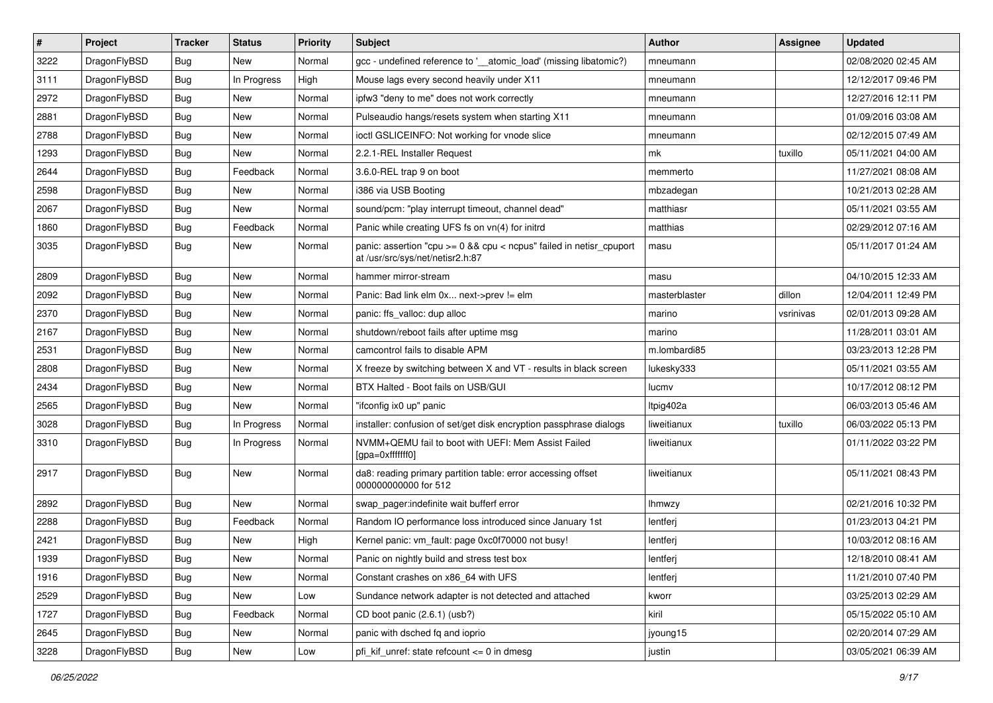| $\sharp$ | Project      | <b>Tracker</b> | <b>Status</b> | <b>Priority</b> | <b>Subject</b>                                                                                          | Author        | <b>Assignee</b> | <b>Updated</b>      |
|----------|--------------|----------------|---------------|-----------------|---------------------------------------------------------------------------------------------------------|---------------|-----------------|---------------------|
| 3222     | DragonFlyBSD | Bug            | New           | Normal          | gcc - undefined reference to '__atomic_load' (missing libatomic?)                                       | mneumann      |                 | 02/08/2020 02:45 AM |
| 3111     | DragonFlyBSD | Bug            | In Progress   | High            | Mouse lags every second heavily under X11                                                               | mneumann      |                 | 12/12/2017 09:46 PM |
| 2972     | DragonFlyBSD | Bug            | New           | Normal          | ipfw3 "deny to me" does not work correctly                                                              | mneumann      |                 | 12/27/2016 12:11 PM |
| 2881     | DragonFlyBSD | Bug            | New           | Normal          | Pulseaudio hangs/resets system when starting X11                                                        | mneumann      |                 | 01/09/2016 03:08 AM |
| 2788     | DragonFlyBSD | Bug            | <b>New</b>    | Normal          | ioctl GSLICEINFO: Not working for vnode slice                                                           | mneumann      |                 | 02/12/2015 07:49 AM |
| 1293     | DragonFlyBSD | Bug            | New           | Normal          | 2.2.1-REL Installer Request                                                                             | mk            | tuxillo         | 05/11/2021 04:00 AM |
| 2644     | DragonFlyBSD | <b>Bug</b>     | Feedback      | Normal          | 3.6.0-REL trap 9 on boot                                                                                | memmerto      |                 | 11/27/2021 08:08 AM |
| 2598     | DragonFlyBSD | <b>Bug</b>     | New           | Normal          | i386 via USB Booting                                                                                    | mbzadegan     |                 | 10/21/2013 02:28 AM |
| 2067     | DragonFlyBSD | <b>Bug</b>     | New           | Normal          | sound/pcm: "play interrupt timeout, channel dead"                                                       | matthiasr     |                 | 05/11/2021 03:55 AM |
| 1860     | DragonFlyBSD | Bug            | Feedback      | Normal          | Panic while creating UFS fs on vn(4) for initrd                                                         | matthias      |                 | 02/29/2012 07:16 AM |
| 3035     | DragonFlyBSD | <b>Bug</b>     | New           | Normal          | panic: assertion "cpu >= 0 && cpu < ncpus" failed in netisr_cpuport<br>at /usr/src/sys/net/netisr2.h:87 | masu          |                 | 05/11/2017 01:24 AM |
| 2809     | DragonFlyBSD | Bug            | <b>New</b>    | Normal          | hammer mirror-stream                                                                                    | masu          |                 | 04/10/2015 12:33 AM |
| 2092     | DragonFlyBSD | <b>Bug</b>     | <b>New</b>    | Normal          | Panic: Bad link elm 0x next->prev != elm                                                                | masterblaster | dillon          | 12/04/2011 12:49 PM |
| 2370     | DragonFlyBSD | <b>Bug</b>     | New           | Normal          | panic: ffs_valloc: dup alloc                                                                            | marino        | vsrinivas       | 02/01/2013 09:28 AM |
| 2167     | DragonFlyBSD | <b>Bug</b>     | <b>New</b>    | Normal          | shutdown/reboot fails after uptime msg                                                                  | marino        |                 | 11/28/2011 03:01 AM |
| 2531     | DragonFlyBSD | <b>Bug</b>     | New           | Normal          | camcontrol fails to disable APM                                                                         | m.lombardi85  |                 | 03/23/2013 12:28 PM |
| 2808     | DragonFlyBSD | Bug            | New           | Normal          | X freeze by switching between X and VT - results in black screen                                        | lukesky333    |                 | 05/11/2021 03:55 AM |
| 2434     | DragonFlyBSD | <b>Bug</b>     | New           | Normal          | BTX Halted - Boot fails on USB/GUI                                                                      | lucmv         |                 | 10/17/2012 08:12 PM |
| 2565     | DragonFlyBSD | <b>Bug</b>     | New           | Normal          | "ifconfig ix0 up" panic                                                                                 | Itpig402a     |                 | 06/03/2013 05:46 AM |
| 3028     | DragonFlyBSD | <b>Bug</b>     | In Progress   | Normal          | installer: confusion of set/get disk encryption passphrase dialogs                                      | liweitianux   | tuxillo         | 06/03/2022 05:13 PM |
| 3310     | DragonFlyBSD | <b>Bug</b>     | In Progress   | Normal          | NVMM+QEMU fail to boot with UEFI: Mem Assist Failed<br>[gpa=0xfffffff0]                                 | liweitianux   |                 | 01/11/2022 03:22 PM |
| 2917     | DragonFlyBSD | Bug            | <b>New</b>    | Normal          | da8: reading primary partition table: error accessing offset<br>000000000000 for 512                    | liweitianux   |                 | 05/11/2021 08:43 PM |
| 2892     | DragonFlyBSD | Bug            | <b>New</b>    | Normal          | swap_pager:indefinite wait bufferf error                                                                | lhmwzy        |                 | 02/21/2016 10:32 PM |
| 2288     | DragonFlyBSD | Bug            | Feedback      | Normal          | Random IO performance loss introduced since January 1st                                                 | lentferj      |                 | 01/23/2013 04:21 PM |
| 2421     | DragonFlyBSD | <b>Bug</b>     | New           | High            | Kernel panic: vm_fault: page 0xc0f70000 not busy!                                                       | lentferj      |                 | 10/03/2012 08:16 AM |
| 1939     | DragonFlyBSD | Bug            | New           | Normal          | Panic on nightly build and stress test box                                                              | lentferj      |                 | 12/18/2010 08:41 AM |
| 1916     | DragonFlyBSD | <b>Bug</b>     | New           | Normal          | Constant crashes on x86_64 with UFS                                                                     | lentferj      |                 | 11/21/2010 07:40 PM |
| 2529     | DragonFlyBSD | <b>Bug</b>     | New           | Low             | Sundance network adapter is not detected and attached                                                   | kworr         |                 | 03/25/2013 02:29 AM |
| 1727     | DragonFlyBSD | <b>Bug</b>     | Feedback      | Normal          | CD boot panic (2.6.1) (usb?)                                                                            | kiril         |                 | 05/15/2022 05:10 AM |
| 2645     | DragonFlyBSD | Bug            | New           | Normal          | panic with dsched fq and ioprio                                                                         | jyoung15      |                 | 02/20/2014 07:29 AM |
| 3228     | DragonFlyBSD | <b>Bug</b>     | New           | Low             | pfi_kif_unref: state refcount <= 0 in dmesg                                                             | justin        |                 | 03/05/2021 06:39 AM |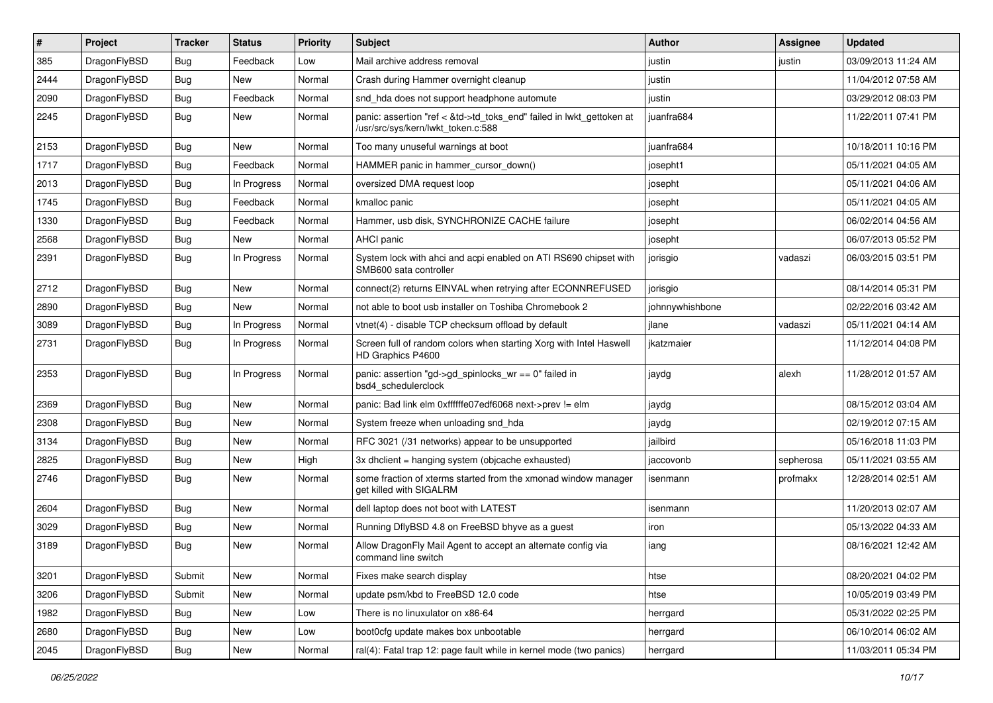| $\pmb{\#}$ | Project      | <b>Tracker</b> | <b>Status</b> | <b>Priority</b> | Subject                                                                                                    | Author          | Assignee  | <b>Updated</b>      |
|------------|--------------|----------------|---------------|-----------------|------------------------------------------------------------------------------------------------------------|-----------------|-----------|---------------------|
| 385        | DragonFlyBSD | Bug            | Feedback      | Low             | Mail archive address removal                                                                               | justin          | justin    | 03/09/2013 11:24 AM |
| 2444       | DragonFlyBSD | <b>Bug</b>     | New           | Normal          | Crash during Hammer overnight cleanup                                                                      | justin          |           | 11/04/2012 07:58 AM |
| 2090       | DragonFlyBSD | <b>Bug</b>     | Feedback      | Normal          | snd hda does not support headphone automute                                                                | justin          |           | 03/29/2012 08:03 PM |
| 2245       | DragonFlyBSD | Bug            | New           | Normal          | panic: assertion "ref < &td->td_toks_end" failed in lwkt_gettoken at<br>/usr/src/sys/kern/lwkt_token.c:588 | juanfra684      |           | 11/22/2011 07:41 PM |
| 2153       | DragonFlyBSD | <b>Bug</b>     | New           | Normal          | Too many unuseful warnings at boot                                                                         | juanfra684      |           | 10/18/2011 10:16 PM |
| 1717       | DragonFlyBSD | <b>Bug</b>     | Feedback      | Normal          | HAMMER panic in hammer_cursor_down()                                                                       | josepht1        |           | 05/11/2021 04:05 AM |
| 2013       | DragonFlyBSD | <b>Bug</b>     | In Progress   | Normal          | oversized DMA request loop                                                                                 | josepht         |           | 05/11/2021 04:06 AM |
| 1745       | DragonFlyBSD | Bug            | Feedback      | Normal          | kmalloc panic                                                                                              | josepht         |           | 05/11/2021 04:05 AM |
| 1330       | DragonFlyBSD | <b>Bug</b>     | Feedback      | Normal          | Hammer, usb disk, SYNCHRONIZE CACHE failure                                                                | josepht         |           | 06/02/2014 04:56 AM |
| 2568       | DragonFlyBSD | <b>Bug</b>     | New           | Normal          | <b>AHCI</b> panic                                                                                          | josepht         |           | 06/07/2013 05:52 PM |
| 2391       | DragonFlyBSD | Bug            | In Progress   | Normal          | System lock with ahci and acpi enabled on ATI RS690 chipset with<br>SMB600 sata controller                 | jorisgio        | vadaszi   | 06/03/2015 03:51 PM |
| 2712       | DragonFlyBSD | <b>Bug</b>     | New           | Normal          | connect(2) returns EINVAL when retrying after ECONNREFUSED                                                 | jorisgio        |           | 08/14/2014 05:31 PM |
| 2890       | DragonFlyBSD | <b>Bug</b>     | New           | Normal          | not able to boot usb installer on Toshiba Chromebook 2                                                     | johnnywhishbone |           | 02/22/2016 03:42 AM |
| 3089       | DragonFlyBSD | <b>Bug</b>     | In Progress   | Normal          | vtnet(4) - disable TCP checksum offload by default                                                         | jlane           | vadaszi   | 05/11/2021 04:14 AM |
| 2731       | DragonFlyBSD | Bug            | In Progress   | Normal          | Screen full of random colors when starting Xorg with Intel Haswell<br>HD Graphics P4600                    | jkatzmaier      |           | 11/12/2014 04:08 PM |
| 2353       | DragonFlyBSD | <b>Bug</b>     | In Progress   | Normal          | panic: assertion "gd->gd spinlocks $wr == 0$ " failed in<br>bsd4 schedulerclock                            | jaydg           | alexh     | 11/28/2012 01:57 AM |
| 2369       | DragonFlyBSD | <b>Bug</b>     | New           | Normal          | panic: Bad link elm 0xffffffe07edf6068 next->prev != elm                                                   | jaydg           |           | 08/15/2012 03:04 AM |
| 2308       | DragonFlyBSD | Bug            | <b>New</b>    | Normal          | System freeze when unloading snd hda                                                                       | jaydg           |           | 02/19/2012 07:15 AM |
| 3134       | DragonFlyBSD | <b>Bug</b>     | <b>New</b>    | Normal          | RFC 3021 (/31 networks) appear to be unsupported                                                           | jailbird        |           | 05/16/2018 11:03 PM |
| 2825       | DragonFlyBSD | <b>Bug</b>     | New           | High            | 3x dhclient = hanging system (objcache exhausted)                                                          | jaccovonb       | sepherosa | 05/11/2021 03:55 AM |
| 2746       | DragonFlyBSD | Bug            | New           | Normal          | some fraction of xterms started from the xmonad window manager<br>get killed with SIGALRM                  | isenmann        | profmakx  | 12/28/2014 02:51 AM |
| 2604       | DragonFlyBSD | <b>Bug</b>     | <b>New</b>    | Normal          | dell laptop does not boot with LATEST                                                                      | isenmann        |           | 11/20/2013 02:07 AM |
| 3029       | DragonFlyBSD | Bug            | <b>New</b>    | Normal          | Running DflyBSD 4.8 on FreeBSD bhyve as a guest                                                            | iron            |           | 05/13/2022 04:33 AM |
| 3189       | DragonFlyBSD | <b>Bug</b>     | New           | Normal          | Allow DragonFly Mail Agent to accept an alternate config via<br>command line switch                        | iang            |           | 08/16/2021 12:42 AM |
| 3201       | DragonFlyBSD | Submit         | New           | Normal          | Fixes make search display                                                                                  | htse            |           | 08/20/2021 04:02 PM |
| 3206       | DragonFlyBSD | Submit         | New           | Normal          | update psm/kbd to FreeBSD 12.0 code                                                                        | htse            |           | 10/05/2019 03:49 PM |
| 1982       | DragonFlyBSD | <b>Bug</b>     | New           | Low             | There is no linuxulator on x86-64                                                                          | herrgard        |           | 05/31/2022 02:25 PM |
| 2680       | DragonFlyBSD | Bug            | New           | Low             | boot0cfg update makes box unbootable                                                                       | herrgard        |           | 06/10/2014 06:02 AM |
| 2045       | DragonFlyBSD | Bug            | New           | Normal          | ral(4): Fatal trap 12: page fault while in kernel mode (two panics)                                        | herrgard        |           | 11/03/2011 05:34 PM |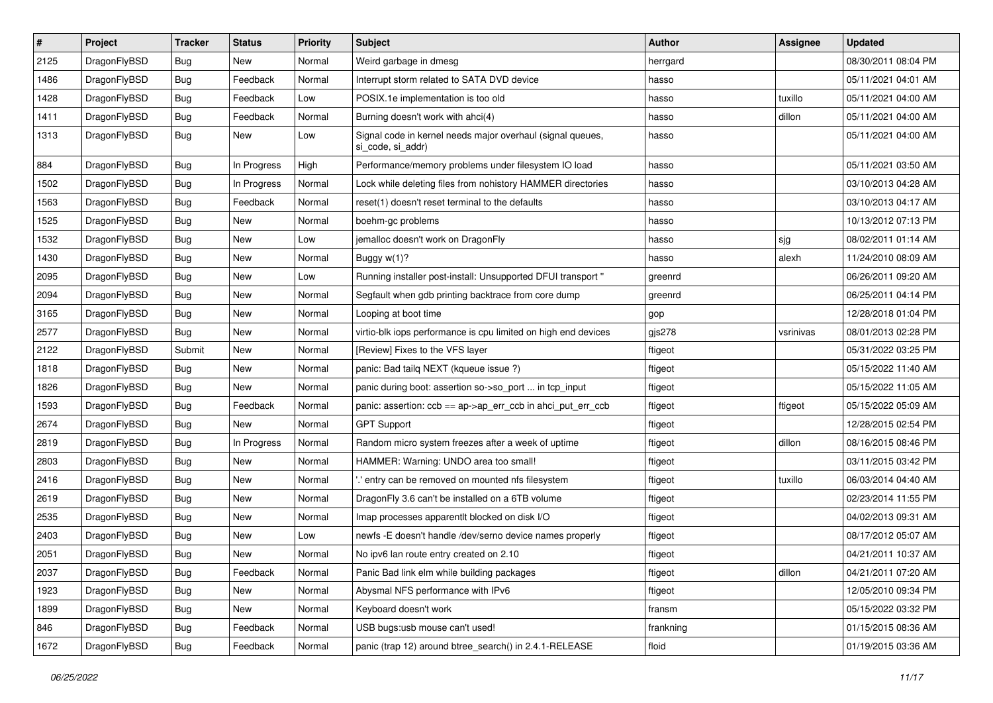| $\vert$ # | Project      | <b>Tracker</b> | <b>Status</b> | <b>Priority</b> | Subject                                                                         | <b>Author</b> | <b>Assignee</b> | <b>Updated</b>      |
|-----------|--------------|----------------|---------------|-----------------|---------------------------------------------------------------------------------|---------------|-----------------|---------------------|
| 2125      | DragonFlyBSD | <b>Bug</b>     | <b>New</b>    | Normal          | Weird garbage in dmesg                                                          | herrgard      |                 | 08/30/2011 08:04 PM |
| 1486      | DragonFlyBSD | <b>Bug</b>     | Feedback      | Normal          | Interrupt storm related to SATA DVD device                                      | hasso         |                 | 05/11/2021 04:01 AM |
| 1428      | DragonFlyBSD | <b>Bug</b>     | Feedback      | Low             | POSIX.1e implementation is too old                                              | hasso         | tuxillo         | 05/11/2021 04:00 AM |
| 1411      | DragonFlyBSD | Bug            | Feedback      | Normal          | Burning doesn't work with ahci(4)                                               | hasso         | dillon          | 05/11/2021 04:00 AM |
| 1313      | DragonFlyBSD | Bug            | New           | Low             | Signal code in kernel needs major overhaul (signal queues,<br>si code, si addr) | hasso         |                 | 05/11/2021 04:00 AM |
| 884       | DragonFlyBSD | Bug            | In Progress   | High            | Performance/memory problems under filesystem IO load                            | hasso         |                 | 05/11/2021 03:50 AM |
| 1502      | DragonFlyBSD | <b>Bug</b>     | In Progress   | Normal          | Lock while deleting files from nohistory HAMMER directories                     | hasso         |                 | 03/10/2013 04:28 AM |
| 1563      | DragonFlyBSD | <b>Bug</b>     | Feedback      | Normal          | reset(1) doesn't reset terminal to the defaults                                 | hasso         |                 | 03/10/2013 04:17 AM |
| 1525      | DragonFlyBSD | <b>Bug</b>     | <b>New</b>    | Normal          | boehm-gc problems                                                               | hasso         |                 | 10/13/2012 07:13 PM |
| 1532      | DragonFlyBSD | <b>Bug</b>     | <b>New</b>    | Low             | jemalloc doesn't work on DragonFly                                              | hasso         | sjg             | 08/02/2011 01:14 AM |
| 1430      | DragonFlyBSD | Bug            | New           | Normal          | Buggy w(1)?                                                                     | hasso         | alexh           | 11/24/2010 08:09 AM |
| 2095      | DragonFlyBSD | <b>Bug</b>     | <b>New</b>    | Low             | Running installer post-install: Unsupported DFUI transport "                    | greenrd       |                 | 06/26/2011 09:20 AM |
| 2094      | DragonFlyBSD | <b>Bug</b>     | New           | Normal          | Segfault when gdb printing backtrace from core dump                             | greenrd       |                 | 06/25/2011 04:14 PM |
| 3165      | DragonFlyBSD | <b>Bug</b>     | <b>New</b>    | Normal          | Looping at boot time                                                            | gop           |                 | 12/28/2018 01:04 PM |
| 2577      | DragonFlyBSD | <b>Bug</b>     | New           | Normal          | virtio-blk iops performance is cpu limited on high end devices                  | gjs278        | vsrinivas       | 08/01/2013 02:28 PM |
| 2122      | DragonFlyBSD | Submit         | <b>New</b>    | Normal          | [Review] Fixes to the VFS layer                                                 | ftigeot       |                 | 05/31/2022 03:25 PM |
| 1818      | DragonFlyBSD | <b>Bug</b>     | <b>New</b>    | Normal          | panic: Bad tailq NEXT (kqueue issue ?)                                          | ftigeot       |                 | 05/15/2022 11:40 AM |
| 1826      | DragonFlyBSD | <b>Bug</b>     | New           | Normal          | panic during boot: assertion so->so_port  in tcp_input                          | ftigeot       |                 | 05/15/2022 11:05 AM |
| 1593      | DragonFlyBSD | Bug            | Feedback      | Normal          | panic: assertion: ccb == ap->ap_err_ccb in ahci_put_err_ccb                     | ftigeot       | ftigeot         | 05/15/2022 05:09 AM |
| 2674      | DragonFlyBSD | <b>Bug</b>     | New           | Normal          | <b>GPT Support</b>                                                              | ftigeot       |                 | 12/28/2015 02:54 PM |
| 2819      | DragonFlyBSD | <b>Bug</b>     | In Progress   | Normal          | Random micro system freezes after a week of uptime                              | ftigeot       | dillon          | 08/16/2015 08:46 PM |
| 2803      | DragonFlyBSD | Bug            | <b>New</b>    | Normal          | HAMMER: Warning: UNDO area too small!                                           | ftigeot       |                 | 03/11/2015 03:42 PM |
| 2416      | DragonFlyBSD | <b>Bug</b>     | New           | Normal          | ".' entry can be removed on mounted nfs filesystem                              | ftigeot       | tuxillo         | 06/03/2014 04:40 AM |
| 2619      | DragonFlyBSD | Bug            | <b>New</b>    | Normal          | DragonFly 3.6 can't be installed on a 6TB volume                                | ftigeot       |                 | 02/23/2014 11:55 PM |
| 2535      | DragonFlyBSD | <b>Bug</b>     | New           | Normal          | Imap processes apparentlt blocked on disk I/O                                   | ftigeot       |                 | 04/02/2013 09:31 AM |
| 2403      | DragonFlyBSD | <b>Bug</b>     | New           | Low             | newfs -E doesn't handle /dev/serno device names properly                        | ftigeot       |                 | 08/17/2012 05:07 AM |
| 2051      | DragonFlyBSD | <b>Bug</b>     | <b>New</b>    | Normal          | No ipv6 lan route entry created on 2.10                                         | ftigeot       |                 | 04/21/2011 10:37 AM |
| 2037      | DragonFlyBSD | <b>Bug</b>     | Feedback      | Normal          | Panic Bad link elm while building packages                                      | ftigeot       | dillon          | 04/21/2011 07:20 AM |
| 1923      | DragonFlyBSD | <b>Bug</b>     | New           | Normal          | Abysmal NFS performance with IPv6                                               | ftigeot       |                 | 12/05/2010 09:34 PM |
| 1899      | DragonFlyBSD | <b>Bug</b>     | New           | Normal          | Keyboard doesn't work                                                           | fransm        |                 | 05/15/2022 03:32 PM |
| 846       | DragonFlyBSD | <b>Bug</b>     | Feedback      | Normal          | USB bugs:usb mouse can't used!                                                  | frankning     |                 | 01/15/2015 08:36 AM |
| 1672      | DragonFlyBSD | <b>Bug</b>     | Feedback      | Normal          | panic (trap 12) around btree_search() in 2.4.1-RELEASE                          | floid         |                 | 01/19/2015 03:36 AM |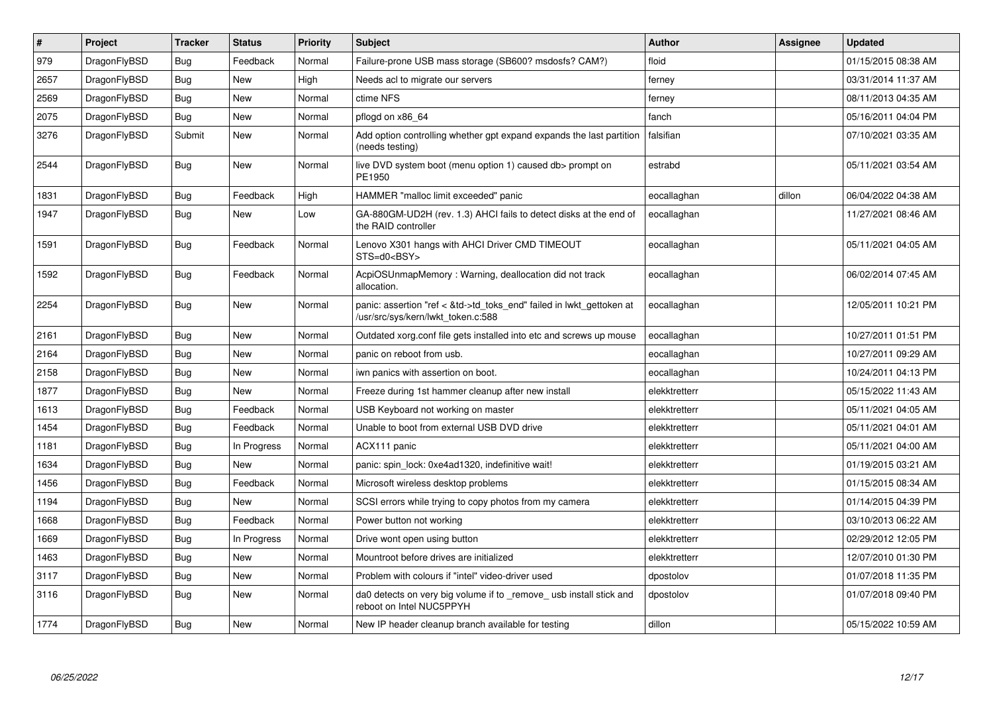| $\vert$ # | Project      | <b>Tracker</b> | <b>Status</b> | <b>Priority</b> | <b>Subject</b>                                                                                             | <b>Author</b> | Assignee | <b>Updated</b>      |
|-----------|--------------|----------------|---------------|-----------------|------------------------------------------------------------------------------------------------------------|---------------|----------|---------------------|
| 979       | DragonFlyBSD | <b>Bug</b>     | Feedback      | Normal          | Failure-prone USB mass storage (SB600? msdosfs? CAM?)                                                      | floid         |          | 01/15/2015 08:38 AM |
| 2657      | DragonFlyBSD | <b>Bug</b>     | <b>New</b>    | High            | Needs acl to migrate our servers                                                                           | ferney        |          | 03/31/2014 11:37 AM |
| 2569      | DragonFlyBSD | Bug            | <b>New</b>    | Normal          | ctime NFS                                                                                                  | ferney        |          | 08/11/2013 04:35 AM |
| 2075      | DragonFlyBSD | Bug            | <b>New</b>    | Normal          | pflogd on x86 64                                                                                           | fanch         |          | 05/16/2011 04:04 PM |
| 3276      | DragonFlyBSD | Submit         | New           | Normal          | Add option controlling whether gpt expand expands the last partition<br>(needs testing)                    | falsifian     |          | 07/10/2021 03:35 AM |
| 2544      | DragonFlyBSD | <b>Bug</b>     | New           | Normal          | live DVD system boot (menu option 1) caused db> prompt on<br>PE1950                                        | estrabd       |          | 05/11/2021 03:54 AM |
| 1831      | DragonFlyBSD | <b>Bug</b>     | Feedback      | High            | HAMMER "malloc limit exceeded" panic                                                                       | eocallaghan   | dillon   | 06/04/2022 04:38 AM |
| 1947      | DragonFlyBSD | <b>Bug</b>     | <b>New</b>    | Low             | GA-880GM-UD2H (rev. 1.3) AHCI fails to detect disks at the end of<br>the RAID controller                   | eocallaghan   |          | 11/27/2021 08:46 AM |
| 1591      | DragonFlyBSD | <b>Bug</b>     | Feedback      | Normal          | Lenovo X301 hangs with AHCI Driver CMD TIMEOUT<br>STS=d0 <bsy></bsy>                                       | eocallaghan   |          | 05/11/2021 04:05 AM |
| 1592      | DragonFlyBSD | Bug            | Feedback      | Normal          | AcpiOSUnmapMemory: Warning, deallocation did not track<br>allocation.                                      | eocallaghan   |          | 06/02/2014 07:45 AM |
| 2254      | DragonFlyBSD | <b>Bug</b>     | <b>New</b>    | Normal          | panic: assertion "ref < &td->td_toks_end" failed in lwkt_gettoken at<br>/usr/src/sys/kern/lwkt_token.c:588 | eocallaghan   |          | 12/05/2011 10:21 PM |
| 2161      | DragonFlyBSD | <b>Bug</b>     | <b>New</b>    | Normal          | Outdated xorg.conf file gets installed into etc and screws up mouse                                        | eocallaghan   |          | 10/27/2011 01:51 PM |
| 2164      | DragonFlyBSD | Bug            | <b>New</b>    | Normal          | panic on reboot from usb.                                                                                  | eocallaghan   |          | 10/27/2011 09:29 AM |
| 2158      | DragonFlyBSD | Bug            | New           | Normal          | iwn panics with assertion on boot.                                                                         | eocallaghan   |          | 10/24/2011 04:13 PM |
| 1877      | DragonFlyBSD | <b>Bug</b>     | <b>New</b>    | Normal          | Freeze during 1st hammer cleanup after new install                                                         | elekktretterr |          | 05/15/2022 11:43 AM |
| 1613      | DragonFlyBSD | Bug            | Feedback      | Normal          | USB Keyboard not working on master                                                                         | elekktretterr |          | 05/11/2021 04:05 AM |
| 1454      | DragonFlyBSD | <b>Bug</b>     | Feedback      | Normal          | Unable to boot from external USB DVD drive                                                                 | elekktretterr |          | 05/11/2021 04:01 AM |
| 1181      | DragonFlyBSD | <b>Bug</b>     | In Progress   | Normal          | ACX111 panic                                                                                               | elekktretterr |          | 05/11/2021 04:00 AM |
| 1634      | DragonFlyBSD | Bug            | New           | Normal          | panic: spin lock: 0xe4ad1320, indefinitive wait!                                                           | elekktretterr |          | 01/19/2015 03:21 AM |
| 1456      | DragonFlyBSD | Bug            | Feedback      | Normal          | Microsoft wireless desktop problems                                                                        | elekktretterr |          | 01/15/2015 08:34 AM |
| 1194      | DragonFlyBSD | <b>Bug</b>     | <b>New</b>    | Normal          | SCSI errors while trying to copy photos from my camera                                                     | elekktretterr |          | 01/14/2015 04:39 PM |
| 1668      | DragonFlyBSD | <b>Bug</b>     | Feedback      | Normal          | Power button not working                                                                                   | elekktretterr |          | 03/10/2013 06:22 AM |
| 1669      | DragonFlyBSD | Bug            | In Progress   | Normal          | Drive wont open using button                                                                               | elekktretterr |          | 02/29/2012 12:05 PM |
| 1463      | DragonFlyBSD | Bug            | New           | Normal          | Mountroot before drives are initialized                                                                    | elekktretterr |          | 12/07/2010 01:30 PM |
| 3117      | DragonFlyBSD | <b>Bug</b>     | <b>New</b>    | Normal          | Problem with colours if "intel" video-driver used                                                          | dpostolov     |          | 01/07/2018 11:35 PM |
| 3116      | DragonFlyBSD | <b>Bug</b>     | <b>New</b>    | Normal          | da0 detects on very big volume if to _remove_ usb install stick and<br>reboot on Intel NUC5PPYH            | dpostolov     |          | 01/07/2018 09:40 PM |
| 1774      | DragonFlyBSD | Bug            | <b>New</b>    | Normal          | New IP header cleanup branch available for testing                                                         | dillon        |          | 05/15/2022 10:59 AM |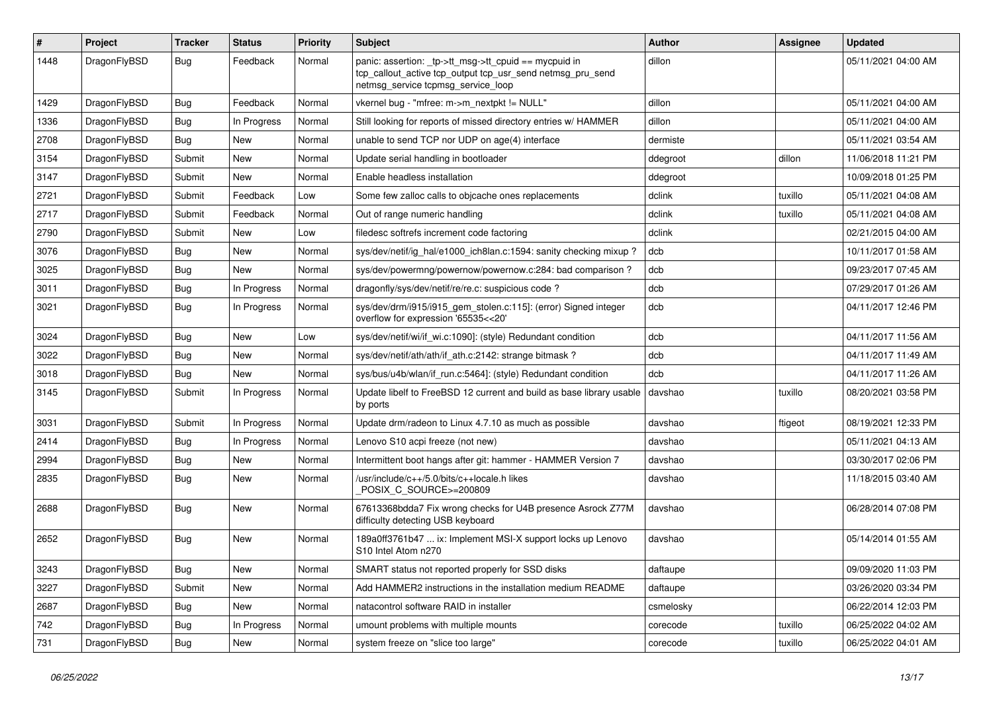| #    | Project      | <b>Tracker</b> | <b>Status</b> | <b>Priority</b> | Subject                                                                                                                                                   | <b>Author</b> | Assignee | <b>Updated</b>      |
|------|--------------|----------------|---------------|-----------------|-----------------------------------------------------------------------------------------------------------------------------------------------------------|---------------|----------|---------------------|
| 1448 | DragonFlyBSD | Bug            | Feedback      | Normal          | panic: assertion: _tp->tt_msg->tt_cpuid == mycpuid in<br>tcp_callout_active tcp_output tcp_usr_send netmsg_pru_send<br>netmsg_service tcpmsg_service_loop | dillon        |          | 05/11/2021 04:00 AM |
| 1429 | DragonFlyBSD | Bug            | Feedback      | Normal          | vkernel bug - "mfree: m->m_nextpkt != NULL"                                                                                                               | dillon        |          | 05/11/2021 04:00 AM |
| 1336 | DragonFlyBSD | Bug            | In Progress   | Normal          | Still looking for reports of missed directory entries w/ HAMMER                                                                                           | dillon        |          | 05/11/2021 04:00 AM |
| 2708 | DragonFlyBSD | <b>Bug</b>     | New           | Normal          | unable to send TCP nor UDP on age(4) interface                                                                                                            | dermiste      |          | 05/11/2021 03:54 AM |
| 3154 | DragonFlyBSD | Submit         | <b>New</b>    | Normal          | Update serial handling in bootloader                                                                                                                      | ddegroot      | dillon   | 11/06/2018 11:21 PM |
| 3147 | DragonFlyBSD | Submit         | New           | Normal          | Enable headless installation                                                                                                                              | ddegroot      |          | 10/09/2018 01:25 PM |
| 2721 | DragonFlyBSD | Submit         | Feedback      | Low             | Some few zalloc calls to objcache ones replacements                                                                                                       | dclink        | tuxillo  | 05/11/2021 04:08 AM |
| 2717 | DragonFlyBSD | Submit         | Feedback      | Normal          | Out of range numeric handling                                                                                                                             | dclink        | tuxillo  | 05/11/2021 04:08 AM |
| 2790 | DragonFlyBSD | Submit         | <b>New</b>    | Low             | filedesc softrefs increment code factoring                                                                                                                | dclink        |          | 02/21/2015 04:00 AM |
| 3076 | DragonFlyBSD | Bug            | <b>New</b>    | Normal          | sys/dev/netif/ig_hal/e1000_ich8lan.c:1594: sanity checking mixup?                                                                                         | dcb           |          | 10/11/2017 01:58 AM |
| 3025 | DragonFlyBSD | <b>Bug</b>     | New           | Normal          | sys/dev/powermng/powernow/powernow.c:284: bad comparison?                                                                                                 | dcb           |          | 09/23/2017 07:45 AM |
| 3011 | DragonFlyBSD | <b>Bug</b>     | In Progress   | Normal          | dragonfly/sys/dev/netif/re/re.c: suspicious code?                                                                                                         | dcb           |          | 07/29/2017 01:26 AM |
| 3021 | DragonFlyBSD | Bug            | In Progress   | Normal          | sys/dev/drm/i915/i915_gem_stolen.c:115]: (error) Signed integer<br>overflow for expression '65535<<20'                                                    | dcb           |          | 04/11/2017 12:46 PM |
| 3024 | DragonFlyBSD | Bug            | <b>New</b>    | Low             | sys/dev/netif/wi/if wi.c:1090]: (style) Redundant condition                                                                                               | dcb           |          | 04/11/2017 11:56 AM |
| 3022 | DragonFlyBSD | Bug            | <b>New</b>    | Normal          | sys/dev/netif/ath/ath/if_ath.c:2142: strange bitmask?                                                                                                     | dcb           |          | 04/11/2017 11:49 AM |
| 3018 | DragonFlyBSD | Bug            | New           | Normal          | sys/bus/u4b/wlan/if_run.c:5464]: (style) Redundant condition                                                                                              | dcb           |          | 04/11/2017 11:26 AM |
| 3145 | DragonFlyBSD | Submit         | In Progress   | Normal          | Update libelf to FreeBSD 12 current and build as base library usable<br>by ports                                                                          | davshao       | tuxillo  | 08/20/2021 03:58 PM |
| 3031 | DragonFlyBSD | Submit         | In Progress   | Normal          | Update drm/radeon to Linux 4.7.10 as much as possible                                                                                                     | davshao       | ftigeot  | 08/19/2021 12:33 PM |
| 2414 | DragonFlyBSD | <b>Bug</b>     | In Progress   | Normal          | Lenovo S10 acpi freeze (not new)                                                                                                                          | davshao       |          | 05/11/2021 04:13 AM |
| 2994 | DragonFlyBSD | Bug            | New           | Normal          | Intermittent boot hangs after git: hammer - HAMMER Version 7                                                                                              | davshao       |          | 03/30/2017 02:06 PM |
| 2835 | DragonFlyBSD | <b>Bug</b>     | New           | Normal          | /usr/include/c++/5.0/bits/c++locale.h likes<br>POSIX C_SOURCE>=200809                                                                                     | davshao       |          | 11/18/2015 03:40 AM |
| 2688 | DragonFlyBSD | Bug            | New           | Normal          | 67613368bdda7 Fix wrong checks for U4B presence Asrock Z77M<br>difficulty detecting USB keyboard                                                          | davshao       |          | 06/28/2014 07:08 PM |
| 2652 | DragonFlyBSD | Bug            | <b>New</b>    | Normal          | 189a0ff3761b47  ix: Implement MSI-X support locks up Lenovo<br>S10 Intel Atom n270                                                                        | davshao       |          | 05/14/2014 01:55 AM |
| 3243 | DragonFlyBSD | <b>Bug</b>     | <b>New</b>    | Normal          | SMART status not reported properly for SSD disks                                                                                                          | daftaupe      |          | 09/09/2020 11:03 PM |
| 3227 | DragonFlyBSD | Submit         | New           | Normal          | Add HAMMER2 instructions in the installation medium README                                                                                                | daftaupe      |          | 03/26/2020 03:34 PM |
| 2687 | DragonFlyBSD | <b>Bug</b>     | New           | Normal          | natacontrol software RAID in installer                                                                                                                    | csmelosky     |          | 06/22/2014 12:03 PM |
| 742  | DragonFlyBSD | Bug            | In Progress   | Normal          | umount problems with multiple mounts                                                                                                                      | corecode      | tuxillo  | 06/25/2022 04:02 AM |
| 731  | DragonFlyBSD | <b>Bug</b>     | New           | Normal          | system freeze on "slice too large"                                                                                                                        | corecode      | tuxillo  | 06/25/2022 04:01 AM |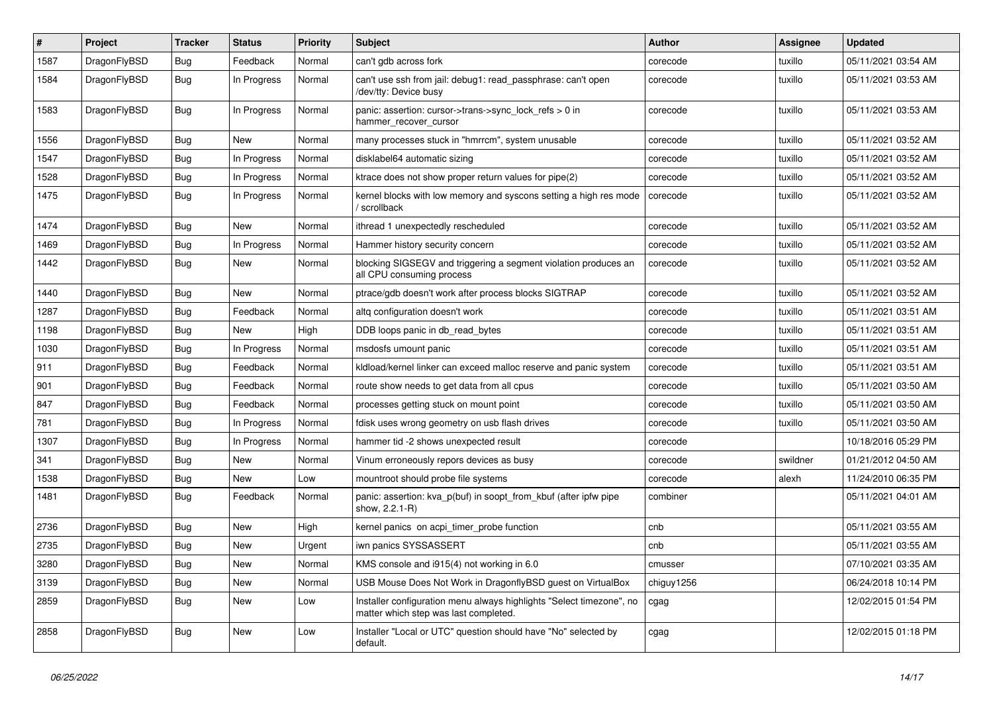| #    | Project      | <b>Tracker</b> | <b>Status</b> | <b>Priority</b> | Subject                                                                                                       | <b>Author</b> | Assignee | <b>Updated</b>      |
|------|--------------|----------------|---------------|-----------------|---------------------------------------------------------------------------------------------------------------|---------------|----------|---------------------|
| 1587 | DragonFlyBSD | <b>Bug</b>     | Feedback      | Normal          | can't gdb across fork                                                                                         | corecode      | tuxillo  | 05/11/2021 03:54 AM |
| 1584 | DragonFlyBSD | <b>Bug</b>     | In Progress   | Normal          | can't use ssh from jail: debug1: read_passphrase: can't open<br>/dev/tty: Device busy                         | corecode      | tuxillo  | 05/11/2021 03:53 AM |
| 1583 | DragonFlyBSD | Bug            | In Progress   | Normal          | panic: assertion: cursor->trans->sync_lock_refs > 0 in<br>hammer_recover_cursor                               | corecode      | tuxillo  | 05/11/2021 03:53 AM |
| 1556 | DragonFlyBSD | <b>Bug</b>     | New           | Normal          | many processes stuck in "hmrrcm", system unusable                                                             | corecode      | tuxillo  | 05/11/2021 03:52 AM |
| 1547 | DragonFlyBSD | <b>Bug</b>     | In Progress   | Normal          | disklabel64 automatic sizing                                                                                  | corecode      | tuxillo  | 05/11/2021 03:52 AM |
| 1528 | DragonFlyBSD | <b>Bug</b>     | In Progress   | Normal          | ktrace does not show proper return values for pipe(2)                                                         | corecode      | tuxillo  | 05/11/2021 03:52 AM |
| 1475 | DragonFlyBSD | <b>Bug</b>     | In Progress   | Normal          | kernel blocks with low memory and syscons setting a high res mode<br>scrollback                               | corecode      | tuxillo  | 05/11/2021 03:52 AM |
| 1474 | DragonFlyBSD | <b>Bug</b>     | <b>New</b>    | Normal          | ithread 1 unexpectedly rescheduled                                                                            | corecode      | tuxillo  | 05/11/2021 03:52 AM |
| 1469 | DragonFlyBSD | <b>Bug</b>     | In Progress   | Normal          | Hammer history security concern                                                                               | corecode      | tuxillo  | 05/11/2021 03:52 AM |
| 1442 | DragonFlyBSD | Bug            | <b>New</b>    | Normal          | blocking SIGSEGV and triggering a segment violation produces an<br>all CPU consuming process                  | corecode      | tuxillo  | 05/11/2021 03:52 AM |
| 1440 | DragonFlyBSD | Bug            | <b>New</b>    | Normal          | ptrace/gdb doesn't work after process blocks SIGTRAP                                                          | corecode      | tuxillo  | 05/11/2021 03:52 AM |
| 1287 | DragonFlyBSD | <b>Bug</b>     | Feedback      | Normal          | altg configuration doesn't work                                                                               | corecode      | tuxillo  | 05/11/2021 03:51 AM |
| 1198 | DragonFlyBSD | <b>Bug</b>     | <b>New</b>    | High            | DDB loops panic in db_read_bytes                                                                              | corecode      | tuxillo  | 05/11/2021 03:51 AM |
| 1030 | DragonFlyBSD | Bug            | In Progress   | Normal          | msdosfs umount panic                                                                                          | corecode      | tuxillo  | 05/11/2021 03:51 AM |
| 911  | DragonFlyBSD | <b>Bug</b>     | Feedback      | Normal          | kldload/kernel linker can exceed malloc reserve and panic system                                              | corecode      | tuxillo  | 05/11/2021 03:51 AM |
| 901  | DragonFlyBSD | <b>Bug</b>     | Feedback      | Normal          | route show needs to get data from all cpus                                                                    | corecode      | tuxillo  | 05/11/2021 03:50 AM |
| 847  | DragonFlyBSD | <b>Bug</b>     | Feedback      | Normal          | processes getting stuck on mount point                                                                        | corecode      | tuxillo  | 05/11/2021 03:50 AM |
| 781  | DragonFlyBSD | <b>Bug</b>     | In Progress   | Normal          | fdisk uses wrong geometry on usb flash drives                                                                 | corecode      | tuxillo  | 05/11/2021 03:50 AM |
| 1307 | DragonFlyBSD | <b>Bug</b>     | In Progress   | Normal          | hammer tid -2 shows unexpected result                                                                         | corecode      |          | 10/18/2016 05:29 PM |
| 341  | DragonFlyBSD | <b>Bug</b>     | New           | Normal          | Vinum erroneously repors devices as busy                                                                      | corecode      | swildner | 01/21/2012 04:50 AM |
| 1538 | DragonFlyBSD | <b>Bug</b>     | New           | Low             | mountroot should probe file systems                                                                           | corecode      | alexh    | 11/24/2010 06:35 PM |
| 1481 | DragonFlyBSD | Bug            | Feedback      | Normal          | panic: assertion: kva_p(buf) in soopt_from_kbuf (after ipfw pipe<br>show, 2.2.1-R)                            | combiner      |          | 05/11/2021 04:01 AM |
| 2736 | DragonFlyBSD | Bug            | <b>New</b>    | High            | kernel panics on acpi_timer_probe function                                                                    | cnb           |          | 05/11/2021 03:55 AM |
| 2735 | DragonFlyBSD | <b>Bug</b>     | <b>New</b>    | Urgent          | iwn panics SYSSASSERT                                                                                         | cnb           |          | 05/11/2021 03:55 AM |
| 3280 | DragonFlyBSD | <b>Bug</b>     | New           | Normal          | KMS console and i915(4) not working in 6.0                                                                    | cmusser       |          | 07/10/2021 03:35 AM |
| 3139 | DragonFlyBSD | <b>Bug</b>     | New           | Normal          | USB Mouse Does Not Work in DragonflyBSD guest on VirtualBox                                                   | chiguy1256    |          | 06/24/2018 10:14 PM |
| 2859 | DragonFlyBSD | <b>Bug</b>     | New           | Low             | Installer configuration menu always highlights "Select timezone", no<br>matter which step was last completed. | cgag          |          | 12/02/2015 01:54 PM |
| 2858 | DragonFlyBSD | <b>Bug</b>     | New           | Low             | Installer "Local or UTC" question should have "No" selected by<br>default.                                    | cgag          |          | 12/02/2015 01:18 PM |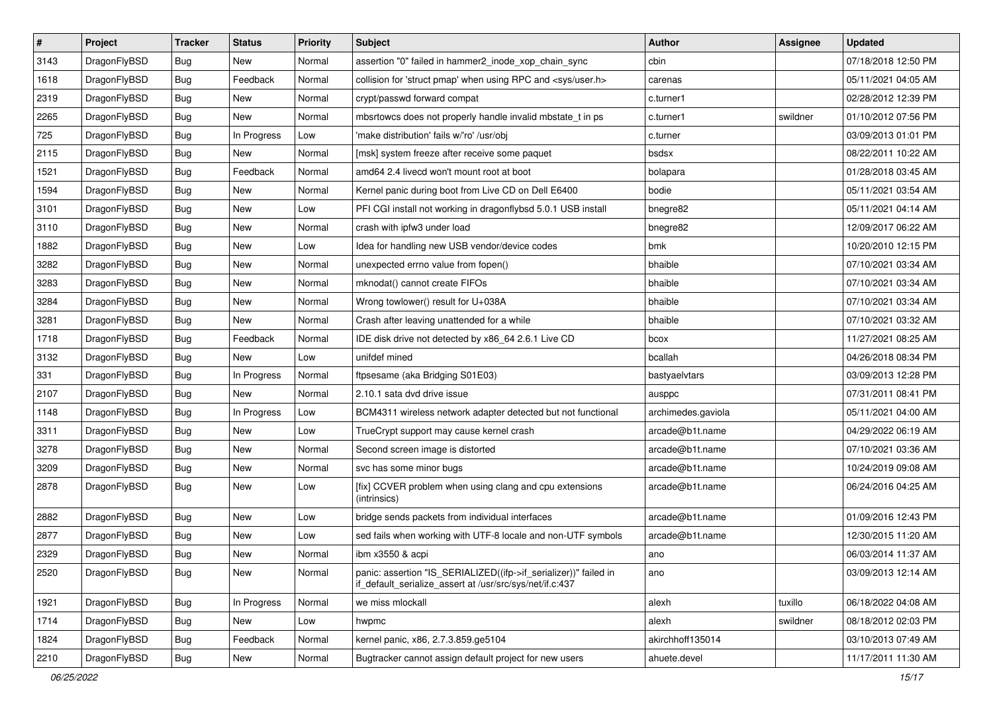| $\vert$ # | Project      | <b>Tracker</b> | <b>Status</b> | <b>Priority</b> | Subject                                                                                                                      | Author             | <b>Assignee</b> | <b>Updated</b>      |
|-----------|--------------|----------------|---------------|-----------------|------------------------------------------------------------------------------------------------------------------------------|--------------------|-----------------|---------------------|
| 3143      | DragonFlyBSD | <b>Bug</b>     | New           | Normal          | assertion "0" failed in hammer2 inode xop chain sync                                                                         | cbin               |                 | 07/18/2018 12:50 PM |
| 1618      | DragonFlyBSD | Bug            | Feedback      | Normal          | collision for 'struct pmap' when using RPC and <sys user.h=""></sys>                                                         | carenas            |                 | 05/11/2021 04:05 AM |
| 2319      | DragonFlyBSD | <b>Bug</b>     | <b>New</b>    | Normal          | crypt/passwd forward compat                                                                                                  | c.turner1          |                 | 02/28/2012 12:39 PM |
| 2265      | DragonFlyBSD | <b>Bug</b>     | <b>New</b>    | Normal          | mbsrtowcs does not properly handle invalid mbstate_t in ps                                                                   | c.turner1          | swildner        | 01/10/2012 07:56 PM |
| 725       | DragonFlyBSD | <b>Bug</b>     | In Progress   | Low             | 'make distribution' fails w/'ro' /usr/obj                                                                                    | c.turner           |                 | 03/09/2013 01:01 PM |
| 2115      | DragonFlyBSD | <b>Bug</b>     | New           | Normal          | [msk] system freeze after receive some paquet                                                                                | bsdsx              |                 | 08/22/2011 10:22 AM |
| 1521      | DragonFlyBSD | Bug            | Feedback      | Normal          | amd64 2.4 livecd won't mount root at boot                                                                                    | bolapara           |                 | 01/28/2018 03:45 AM |
| 1594      | DragonFlyBSD | Bug            | <b>New</b>    | Normal          | Kernel panic during boot from Live CD on Dell E6400                                                                          | bodie              |                 | 05/11/2021 03:54 AM |
| 3101      | DragonFlyBSD | <b>Bug</b>     | <b>New</b>    | Low             | PFI CGI install not working in dragonflybsd 5.0.1 USB install                                                                | bnegre82           |                 | 05/11/2021 04:14 AM |
| 3110      | DragonFlyBSD | <b>Bug</b>     | <b>New</b>    | Normal          | crash with ipfw3 under load                                                                                                  | bnegre82           |                 | 12/09/2017 06:22 AM |
| 1882      | DragonFlyBSD | Bug            | <b>New</b>    | Low             | Idea for handling new USB vendor/device codes                                                                                | bmk                |                 | 10/20/2010 12:15 PM |
| 3282      | DragonFlyBSD | Bug            | <b>New</b>    | Normal          | unexpected errno value from fopen()                                                                                          | bhaible            |                 | 07/10/2021 03:34 AM |
| 3283      | DragonFlyBSD | <b>Bug</b>     | <b>New</b>    | Normal          | mknodat() cannot create FIFOs                                                                                                | bhaible            |                 | 07/10/2021 03:34 AM |
| 3284      | DragonFlyBSD | Bug            | New           | Normal          | Wrong towlower() result for U+038A                                                                                           | bhaible            |                 | 07/10/2021 03:34 AM |
| 3281      | DragonFlyBSD | <b>Bug</b>     | <b>New</b>    | Normal          | Crash after leaving unattended for a while                                                                                   | bhaible            |                 | 07/10/2021 03:32 AM |
| 1718      | DragonFlyBSD | <b>Bug</b>     | Feedback      | Normal          | IDE disk drive not detected by x86_64 2.6.1 Live CD                                                                          | bcox               |                 | 11/27/2021 08:25 AM |
| 3132      | DragonFlyBSD | <b>Bug</b>     | <b>New</b>    | Low             | unifdef mined                                                                                                                | bcallah            |                 | 04/26/2018 08:34 PM |
| 331       | DragonFlyBSD | Bug            | In Progress   | Normal          | ftpsesame (aka Bridging S01E03)                                                                                              | bastyaelvtars      |                 | 03/09/2013 12:28 PM |
| 2107      | DragonFlyBSD | <b>Bug</b>     | New           | Normal          | 2.10.1 sata dvd drive issue                                                                                                  | ausppc             |                 | 07/31/2011 08:41 PM |
| 1148      | DragonFlyBSD | Bug            | In Progress   | Low             | BCM4311 wireless network adapter detected but not functional                                                                 | archimedes.gaviola |                 | 05/11/2021 04:00 AM |
| 3311      | DragonFlyBSD | <b>Bug</b>     | New           | Low             | TrueCrypt support may cause kernel crash                                                                                     | arcade@b1t.name    |                 | 04/29/2022 06:19 AM |
| 3278      | DragonFlyBSD | <b>Bug</b>     | <b>New</b>    | Normal          | Second screen image is distorted                                                                                             | arcade@b1t.name    |                 | 07/10/2021 03:36 AM |
| 3209      | DragonFlyBSD | <b>Bug</b>     | <b>New</b>    | Normal          | svc has some minor bugs                                                                                                      | arcade@b1t.name    |                 | 10/24/2019 09:08 AM |
| 2878      | DragonFlyBSD | <b>Bug</b>     | New           | Low             | [fix] CCVER problem when using clang and cpu extensions<br>(intrinsics)                                                      | arcade@b1t.name    |                 | 06/24/2016 04:25 AM |
| 2882      | DragonFlyBSD | <b>Bug</b>     | New           | Low             | bridge sends packets from individual interfaces                                                                              | arcade@b1t.name    |                 | 01/09/2016 12:43 PM |
| 2877      | DragonFlyBSD | <b>Bug</b>     | New           | Low             | sed fails when working with UTF-8 locale and non-UTF symbols                                                                 | arcade@b1t.name    |                 | 12/30/2015 11:20 AM |
| 2329      | DragonFlyBSD | <b>Bug</b>     | New           | Normal          | ibm x3550 & acpi                                                                                                             | ano                |                 | 06/03/2014 11:37 AM |
| 2520      | DragonFlyBSD | <b>Bug</b>     | New           | Normal          | panic: assertion "IS_SERIALIZED((ifp->if_serializer))" failed in<br>if_default_serialize_assert at /usr/src/sys/net/if.c:437 | ano                |                 | 03/09/2013 12:14 AM |
| 1921      | DragonFlyBSD | <b>Bug</b>     | In Progress   | Normal          | we miss mlockall                                                                                                             | alexh              | tuxillo         | 06/18/2022 04:08 AM |
| 1714      | DragonFlyBSD | <b>Bug</b>     | New           | Low             | hwpmc                                                                                                                        | alexh              | swildner        | 08/18/2012 02:03 PM |
| 1824      | DragonFlyBSD | <b>Bug</b>     | Feedback      | Normal          | kernel panic, x86, 2.7.3.859.ge5104                                                                                          | akirchhoff135014   |                 | 03/10/2013 07:49 AM |
| 2210      | DragonFlyBSD | <b>Bug</b>     | New           | Normal          | Bugtracker cannot assign default project for new users                                                                       | ahuete.devel       |                 | 11/17/2011 11:30 AM |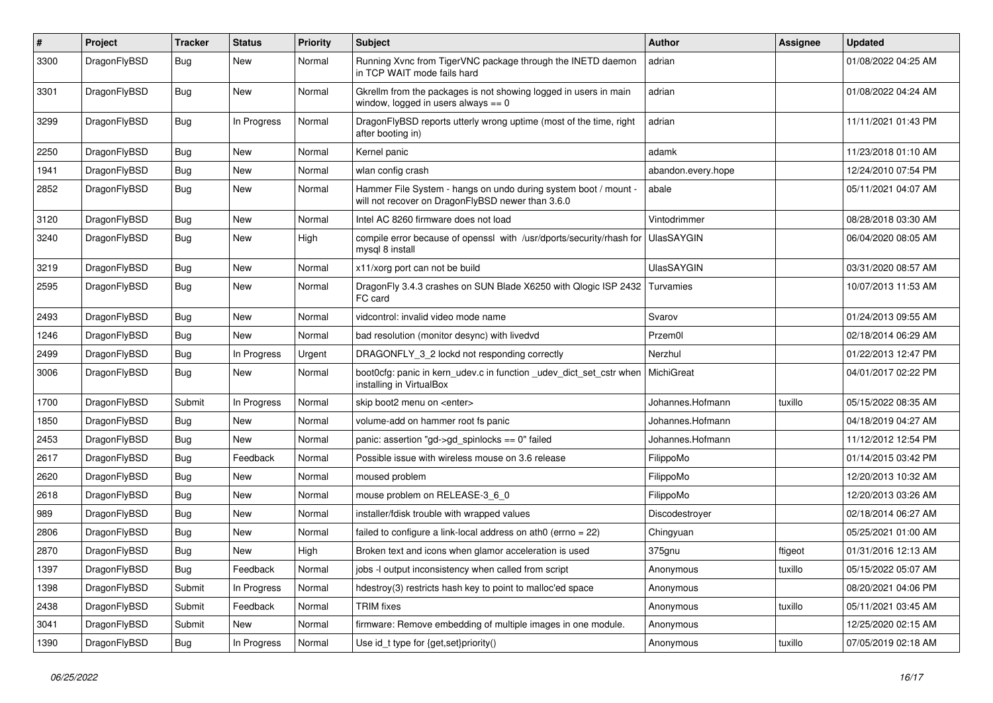| #    | Project      | <b>Tracker</b> | <b>Status</b> | <b>Priority</b> | Subject                                                                                                              | <b>Author</b>      | Assignee | <b>Updated</b>      |
|------|--------------|----------------|---------------|-----------------|----------------------------------------------------------------------------------------------------------------------|--------------------|----------|---------------------|
| 3300 | DragonFlyBSD | Bug            | <b>New</b>    | Normal          | Running Xvnc from TigerVNC package through the INETD daemon<br>in TCP WAIT mode fails hard                           | adrian             |          | 01/08/2022 04:25 AM |
| 3301 | DragonFlyBSD | Bug            | <b>New</b>    | Normal          | Gkrellm from the packages is not showing logged in users in main<br>window, logged in users always $== 0$            | adrian             |          | 01/08/2022 04:24 AM |
| 3299 | DragonFlyBSD | <b>Bug</b>     | In Progress   | Normal          | DragonFlyBSD reports utterly wrong uptime (most of the time, right<br>after booting in)                              | adrian             |          | 11/11/2021 01:43 PM |
| 2250 | DragonFlyBSD | Bug            | <b>New</b>    | Normal          | Kernel panic                                                                                                         | adamk              |          | 11/23/2018 01:10 AM |
| 1941 | DragonFlyBSD | <b>Bug</b>     | <b>New</b>    | Normal          | wlan config crash                                                                                                    | abandon.every.hope |          | 12/24/2010 07:54 PM |
| 2852 | DragonFlyBSD | Bug            | New           | Normal          | Hammer File System - hangs on undo during system boot / mount -<br>will not recover on DragonFlyBSD newer than 3.6.0 | abale              |          | 05/11/2021 04:07 AM |
| 3120 | DragonFlyBSD | Bug            | <b>New</b>    | Normal          | Intel AC 8260 firmware does not load                                                                                 | Vintodrimmer       |          | 08/28/2018 03:30 AM |
| 3240 | DragonFlyBSD | <b>Bug</b>     | New           | High            | compile error because of openssl with /usr/dports/security/rhash for UlasSAYGIN<br>mysql 8 install                   |                    |          | 06/04/2020 08:05 AM |
| 3219 | DragonFlyBSD | Bug            | <b>New</b>    | Normal          | x11/xorg port can not be build                                                                                       | <b>UlasSAYGIN</b>  |          | 03/31/2020 08:57 AM |
| 2595 | DragonFlyBSD | Bug            | New           | Normal          | DragonFly 3.4.3 crashes on SUN Blade X6250 with Qlogic ISP 2432<br>FC card                                           | Turvamies          |          | 10/07/2013 11:53 AM |
| 2493 | DragonFlyBSD | Bug            | <b>New</b>    | Normal          | vidcontrol: invalid video mode name                                                                                  | Svarov             |          | 01/24/2013 09:55 AM |
| 1246 | DragonFlyBSD | <b>Bug</b>     | <b>New</b>    | Normal          | bad resolution (monitor desync) with livedvd                                                                         | Przem0l            |          | 02/18/2014 06:29 AM |
| 2499 | DragonFlyBSD | <b>Bug</b>     | In Progress   | Urgent          | DRAGONFLY_3_2 lockd not responding correctly                                                                         | Nerzhul            |          | 01/22/2013 12:47 PM |
| 3006 | DragonFlyBSD | <b>Bug</b>     | New           | Normal          | boot0cfg: panic in kern_udev.c in function _udev_dict_set_cstr when<br>installing in VirtualBox                      | MichiGreat         |          | 04/01/2017 02:22 PM |
| 1700 | DragonFlyBSD | Submit         | In Progress   | Normal          | skip boot2 menu on <enter></enter>                                                                                   | Johannes.Hofmann   | tuxillo  | 05/15/2022 08:35 AM |
| 1850 | DragonFlyBSD | Bug            | <b>New</b>    | Normal          | volume-add on hammer root fs panic                                                                                   | Johannes.Hofmann   |          | 04/18/2019 04:27 AM |
| 2453 | DragonFlyBSD | <b>Bug</b>     | New           | Normal          | panic: assertion "gd->gd_spinlocks == 0" failed                                                                      | Johannes.Hofmann   |          | 11/12/2012 12:54 PM |
| 2617 | DragonFlyBSD | Bug            | Feedback      | Normal          | Possible issue with wireless mouse on 3.6 release                                                                    | FilippoMo          |          | 01/14/2015 03:42 PM |
| 2620 | DragonFlyBSD | Bug            | <b>New</b>    | Normal          | moused problem                                                                                                       | FilippoMo          |          | 12/20/2013 10:32 AM |
| 2618 | DragonFlyBSD | <b>Bug</b>     | New           | Normal          | mouse problem on RELEASE-3_6_0                                                                                       | FilippoMo          |          | 12/20/2013 03:26 AM |
| 989  | DragonFlyBSD | <b>Bug</b>     | New           | Normal          | installer/fdisk trouble with wrapped values                                                                          | Discodestroyer     |          | 02/18/2014 06:27 AM |
| 2806 | DragonFlyBSD | Bug            | <b>New</b>    | Normal          | failed to configure a link-local address on ath0 (errno = 22)                                                        | Chingyuan          |          | 05/25/2021 01:00 AM |
| 2870 | DragonFlyBSD | Bug            | <b>New</b>    | High            | Broken text and icons when glamor acceleration is used                                                               | 375gnu             | ftigeot  | 01/31/2016 12:13 AM |
| 1397 | DragonFlyBSD | <b>Bug</b>     | Feedback      | Normal          | jobs -I output inconsistency when called from script                                                                 | Anonymous          | tuxillo  | 05/15/2022 05:07 AM |
| 1398 | DragonFlyBSD | Submit         | In Progress   | Normal          | hdestroy(3) restricts hash key to point to malloc'ed space                                                           | Anonymous          |          | 08/20/2021 04:06 PM |
| 2438 | DragonFlyBSD | Submit         | Feedback      | Normal          | <b>TRIM</b> fixes                                                                                                    | Anonymous          | tuxillo  | 05/11/2021 03:45 AM |
| 3041 | DragonFlyBSD | Submit         | New           | Normal          | firmware: Remove embedding of multiple images in one module.                                                         | Anonymous          |          | 12/25/2020 02:15 AM |
| 1390 | DragonFlyBSD | <b>Bug</b>     | In Progress   | Normal          | Use id_t type for {get,set}priority()                                                                                | Anonymous          | tuxillo  | 07/05/2019 02:18 AM |